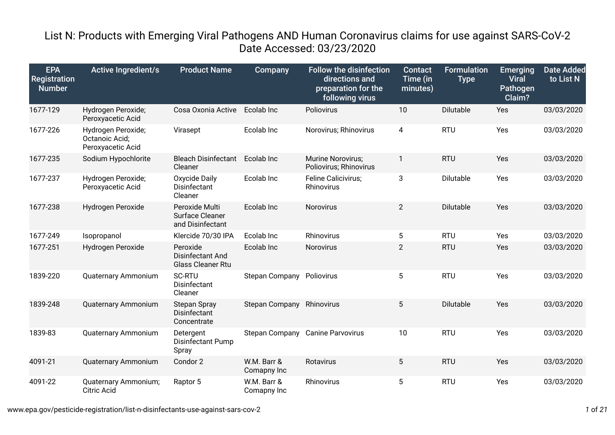## List N: Products with Emerging Viral Pathogens AND Human Coronavirus claims for use against SARS-CoV-2 Date Accessed: 03/23/2020

| <b>EPA</b><br><b>Registration</b><br><b>Number</b> | <b>Active Ingredient/s</b>                                | <b>Product Name</b>                                      | Company                    | <b>Follow the disinfection</b><br>directions and<br>preparation for the<br>following virus | <b>Contact</b><br>Time (in<br>minutes) | <b>Formulation</b><br><b>Type</b> | <b>Emerging</b><br><b>Viral</b><br>Pathogen<br>Claim? | <b>Date Added</b><br>to List N |
|----------------------------------------------------|-----------------------------------------------------------|----------------------------------------------------------|----------------------------|--------------------------------------------------------------------------------------------|----------------------------------------|-----------------------------------|-------------------------------------------------------|--------------------------------|
| 1677-129                                           | Hydrogen Peroxide;<br>Peroxyacetic Acid                   | Cosa Oxonia Active                                       | Ecolab Inc                 | Poliovirus                                                                                 | 10                                     | <b>Dilutable</b>                  | Yes                                                   | 03/03/2020                     |
| 1677-226                                           | Hydrogen Peroxide;<br>Octanoic Acid;<br>Peroxyacetic Acid | Virasept                                                 | Ecolab Inc                 | Norovirus; Rhinovirus                                                                      | 4                                      | <b>RTU</b>                        | Yes                                                   | 03/03/2020                     |
| 1677-235                                           | Sodium Hypochlorite                                       | <b>Bleach Disinfectant</b><br>Cleaner                    | Ecolab Inc                 | Murine Norovirus;<br>Poliovirus; Rhinovirus                                                | 1                                      | <b>RTU</b>                        | Yes                                                   | 03/03/2020                     |
| 1677-237                                           | Hydrogen Peroxide;<br>Peroxyacetic Acid                   | Oxycide Daily<br>Disinfectant<br>Cleaner                 | Ecolab Inc                 | Feline Calicivirus;<br>Rhinovirus                                                          | 3                                      | Dilutable                         | Yes                                                   | 03/03/2020                     |
| 1677-238                                           | Hydrogen Peroxide                                         | Peroxide Multi<br>Surface Cleaner<br>and Disinfectant    | Ecolab Inc                 | Norovirus                                                                                  | $\overline{2}$                         | <b>Dilutable</b>                  | Yes                                                   | 03/03/2020                     |
| 1677-249                                           | Isopropanol                                               | Klercide 70/30 IPA                                       | Ecolab Inc                 | Rhinovirus                                                                                 | 5                                      | <b>RTU</b>                        | Yes                                                   | 03/03/2020                     |
| 1677-251                                           | Hydrogen Peroxide                                         | Peroxide<br>Disinfectant And<br><b>Glass Cleaner Rtu</b> | Ecolab Inc                 | Norovirus                                                                                  | $\overline{2}$                         | <b>RTU</b>                        | Yes                                                   | 03/03/2020                     |
| 1839-220                                           | <b>Quaternary Ammonium</b>                                | <b>SC-RTU</b><br>Disinfectant<br>Cleaner                 | <b>Stepan Company</b>      | Poliovirus                                                                                 | 5                                      | <b>RTU</b>                        | Yes                                                   | 03/03/2020                     |
| 1839-248                                           | <b>Quaternary Ammonium</b>                                | <b>Stepan Spray</b><br>Disinfectant<br>Concentrate       | <b>Stepan Company</b>      | Rhinovirus                                                                                 | 5                                      | <b>Dilutable</b>                  | Yes                                                   | 03/03/2020                     |
| 1839-83                                            | Quaternary Ammonium                                       | Detergent<br><b>Disinfectant Pump</b><br>Spray           | <b>Stepan Company</b>      | <b>Canine Parvovirus</b>                                                                   | 10                                     | <b>RTU</b>                        | Yes                                                   | 03/03/2020                     |
| 4091-21                                            | Quaternary Ammonium                                       | Condor 2                                                 | W.M. Barr &<br>Comapny Inc | Rotavirus                                                                                  | 5                                      | <b>RTU</b>                        | Yes                                                   | 03/03/2020                     |
| 4091-22                                            | Quaternary Ammonium;<br><b>Citric Acid</b>                | Raptor 5                                                 | W.M. Barr &<br>Comapny Inc | Rhinovirus                                                                                 | 5                                      | <b>RTU</b>                        | Yes                                                   | 03/03/2020                     |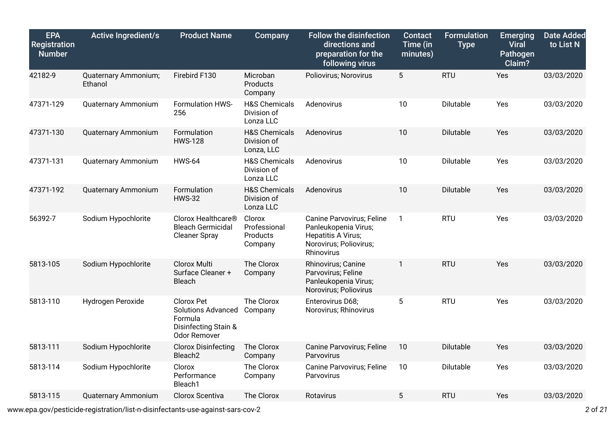| <b>EPA</b><br><b>Registration</b><br><b>Number</b> | <b>Active Ingredient/s</b>      | <b>Product Name</b>                                                                               | <b>Company</b>                                        | <b>Follow the disinfection</b><br>directions and<br>preparation for the<br>following virus                      | <b>Contact</b><br>Time (in<br>minutes) | <b>Formulation</b><br><b>Type</b> | <b>Emerging</b><br><b>Viral</b><br>Pathogen<br>Claim? | <b>Date Added</b><br>to List N |
|----------------------------------------------------|---------------------------------|---------------------------------------------------------------------------------------------------|-------------------------------------------------------|-----------------------------------------------------------------------------------------------------------------|----------------------------------------|-----------------------------------|-------------------------------------------------------|--------------------------------|
| 42182-9                                            | Quaternary Ammonium;<br>Ethanol | Firebird F130                                                                                     | Microban<br>Products<br>Company                       | Poliovirus; Norovirus                                                                                           | 5                                      | <b>RTU</b>                        | Yes                                                   | 03/03/2020                     |
| 47371-129                                          | Quaternary Ammonium             | Formulation HWS-<br>256                                                                           | <b>H&amp;S Chemicals</b><br>Division of<br>Lonza LLC  | Adenovirus                                                                                                      | 10                                     | Dilutable                         | Yes                                                   | 03/03/2020                     |
| 47371-130                                          | Quaternary Ammonium             | Formulation<br><b>HWS-128</b>                                                                     | <b>H&amp;S Chemicals</b><br>Division of<br>Lonza, LLC | Adenovirus                                                                                                      | 10                                     | Dilutable                         | Yes                                                   | 03/03/2020                     |
| 47371-131                                          | <b>Quaternary Ammonium</b>      | <b>HWS-64</b>                                                                                     | <b>H&amp;S Chemicals</b><br>Division of<br>Lonza LLC  | Adenovirus                                                                                                      | 10                                     | Dilutable                         | Yes                                                   | 03/03/2020                     |
| 47371-192                                          | Quaternary Ammonium             | Formulation<br><b>HWS-32</b>                                                                      | <b>H&amp;S Chemicals</b><br>Division of<br>Lonza LLC  | Adenovirus                                                                                                      | 10                                     | Dilutable                         | Yes                                                   | 03/03/2020                     |
| 56392-7                                            | Sodium Hypochlorite             | Clorox Healthcare®<br><b>Bleach Germicidal</b><br><b>Cleaner Spray</b>                            | Clorox<br>Professional<br>Products<br>Company         | Canine Parvovirus; Feline<br>Panleukopenia Virus;<br>Hepatitis A Virus;<br>Norovirus; Poliovirus;<br>Rhinovirus | $\mathbf{1}$                           | <b>RTU</b>                        | Yes                                                   | 03/03/2020                     |
| 5813-105                                           | Sodium Hypochlorite             | <b>Clorox Multi</b><br>Surface Cleaner +<br>Bleach                                                | The Clorox<br>Company                                 | Rhinovirus; Canine<br>Parvovirus; Feline<br>Panleukopenia Virus;<br>Norovirus; Poliovirus                       | 1                                      | <b>RTU</b>                        | Yes                                                   | 03/03/2020                     |
| 5813-110                                           | Hydrogen Peroxide               | Clorox Pet<br><b>Solutions Advanced</b><br>Formula<br>Disinfecting Stain &<br><b>Odor Remover</b> | The Clorox<br>Company                                 | Enterovirus D68;<br>Norovirus; Rhinovirus                                                                       | 5                                      | <b>RTU</b>                        | Yes                                                   | 03/03/2020                     |
| 5813-111                                           | Sodium Hypochlorite             | <b>Clorox Disinfecting</b><br>Bleach <sub>2</sub>                                                 | The Clorox<br>Company                                 | Canine Parvovirus; Feline<br>Parvovirus                                                                         | 10                                     | Dilutable                         | Yes                                                   | 03/03/2020                     |
| 5813-114                                           | Sodium Hypochlorite             | Clorox<br>Performance<br>Bleach1                                                                  | The Clorox<br>Company                                 | Canine Parvovirus; Feline<br>Parvovirus                                                                         | 10                                     | Dilutable                         | Yes                                                   | 03/03/2020                     |
| 5813-115                                           | Quaternary Ammonium             | Clorox Scentiva                                                                                   | The Clorox                                            | Rotavirus                                                                                                       | 5                                      | <b>RTU</b>                        | Yes                                                   | 03/03/2020                     |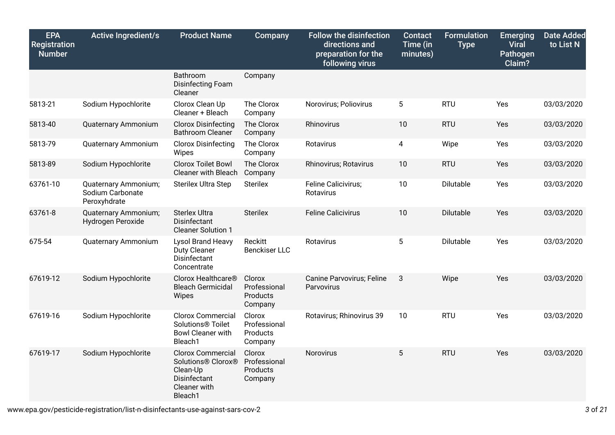| <b>EPA</b><br><b>Registration</b><br>Number | <b>Active Ingredient/s</b>                               | <b>Product Name</b>                                                                                   | Company                                       | <b>Follow the disinfection</b><br>directions and<br>preparation for the<br>following virus | <b>Contact</b><br>Time (in<br>minutes) | <b>Formulation</b><br><b>Type</b> | <b>Emerging</b><br><b>Viral</b><br>Pathogen<br>Claim? | <b>Date Added</b><br>to List N |
|---------------------------------------------|----------------------------------------------------------|-------------------------------------------------------------------------------------------------------|-----------------------------------------------|--------------------------------------------------------------------------------------------|----------------------------------------|-----------------------------------|-------------------------------------------------------|--------------------------------|
|                                             |                                                          | Bathroom<br>Disinfecting Foam<br>Cleaner                                                              | Company                                       |                                                                                            |                                        |                                   |                                                       |                                |
| 5813-21                                     | Sodium Hypochlorite                                      | Clorox Clean Up<br>Cleaner + Bleach                                                                   | The Clorox<br>Company                         | Norovirus; Poliovirus                                                                      | 5                                      | <b>RTU</b>                        | Yes                                                   | 03/03/2020                     |
| 5813-40                                     | Quaternary Ammonium                                      | <b>Clorox Disinfecting</b><br><b>Bathroom Cleaner</b>                                                 | The Clorox<br>Company                         | Rhinovirus                                                                                 | 10                                     | <b>RTU</b>                        | Yes                                                   | 03/03/2020                     |
| 5813-79                                     | Quaternary Ammonium                                      | <b>Clorox Disinfecting</b><br>Wipes                                                                   | The Clorox<br>Company                         | Rotavirus                                                                                  | 4                                      | Wipe                              | Yes                                                   | 03/03/2020                     |
| 5813-89                                     | Sodium Hypochlorite                                      | <b>Clorox Toilet Bowl</b><br><b>Cleaner with Bleach</b>                                               | The Clorox<br>Company                         | Rhinovirus; Rotavirus                                                                      | 10                                     | <b>RTU</b>                        | Yes                                                   | 03/03/2020                     |
| 63761-10                                    | Quaternary Ammonium;<br>Sodium Carbonate<br>Peroxyhdrate | <b>Sterilex Ultra Step</b>                                                                            | <b>Sterilex</b>                               | Feline Calicivirus;<br>Rotavirus                                                           | 10                                     | Dilutable                         | Yes                                                   | 03/03/2020                     |
| 63761-8                                     | Quaternary Ammonium;<br>Hydrogen Peroxide                | <b>Sterlex Ultra</b><br>Disinfectant<br><b>Cleaner Solution 1</b>                                     | <b>Sterilex</b>                               | <b>Feline Calicivirus</b>                                                                  | 10                                     | Dilutable                         | Yes                                                   | 03/03/2020                     |
| 675-54                                      | Quaternary Ammonium                                      | Lysol Brand Heavy<br><b>Duty Cleaner</b><br>Disinfectant<br>Concentrate                               | Reckitt<br><b>Benckiser LLC</b>               | Rotavirus                                                                                  | 5                                      | Dilutable                         | Yes                                                   | 03/03/2020                     |
| 67619-12                                    | Sodium Hypochlorite                                      | Clorox Healthcare®<br><b>Bleach Germicidal</b><br>Wipes                                               | Clorox<br>Professional<br>Products<br>Company | Canine Parvovirus; Feline<br>Parvovirus                                                    | 3                                      | Wipe                              | Yes                                                   | 03/03/2020                     |
| 67619-16                                    | Sodium Hypochlorite                                      | <b>Clorox Commercial</b><br>Solutions <sup>®</sup> Toilet<br><b>Bowl Cleaner with</b><br>Bleach1      | Clorox<br>Professional<br>Products<br>Company | Rotavirus; Rhinovirus 39                                                                   | 10                                     | <b>RTU</b>                        | Yes                                                   | 03/03/2020                     |
| 67619-17                                    | Sodium Hypochlorite                                      | <b>Clorox Commercial</b><br>Solutions® Clorox®<br>Clean-Up<br>Disinfectant<br>Cleaner with<br>Bleach1 | Clorox<br>Professional<br>Products<br>Company | Norovirus                                                                                  | 5                                      | <b>RTU</b>                        | Yes                                                   | 03/03/2020                     |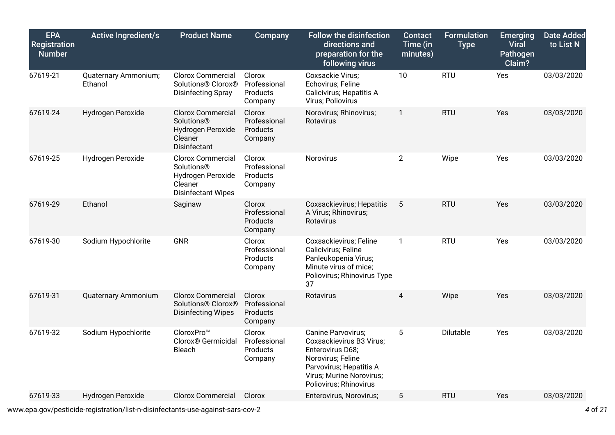| <b>EPA</b><br><b>Registration</b><br><b>Number</b> | <b>Active Ingredient/s</b>      | <b>Product Name</b>                                                                                 | Company                                              | <b>Follow the disinfection</b><br>directions and<br>preparation for the<br>following virus                                                                               | <b>Contact</b><br>Time (in<br>minutes) | <b>Formulation</b><br><b>Type</b> | <b>Emerging</b><br><b>Viral</b><br><b>Pathogen</b><br>Claim? | <b>Date Added</b><br>to List N |
|----------------------------------------------------|---------------------------------|-----------------------------------------------------------------------------------------------------|------------------------------------------------------|--------------------------------------------------------------------------------------------------------------------------------------------------------------------------|----------------------------------------|-----------------------------------|--------------------------------------------------------------|--------------------------------|
| 67619-21                                           | Quaternary Ammonium;<br>Ethanol | <b>Clorox Commercial</b><br>Solutions® Clorox®<br><b>Disinfecting Spray</b>                         | Clorox<br>Professional<br>Products<br>Company        | Coxsackie Virus;<br>Echovirus; Feline<br>Calicivirus; Hepatitis A<br>Virus; Poliovirus                                                                                   | 10                                     | <b>RTU</b>                        | Yes                                                          | 03/03/2020                     |
| 67619-24                                           | Hydrogen Peroxide               | <b>Clorox Commercial</b><br><b>Solutions®</b><br>Hydrogen Peroxide<br>Cleaner<br>Disinfectant       | Clorox<br>Professional<br>Products<br>Company        | Norovirus; Rhinovirus;<br>Rotavirus                                                                                                                                      | $\mathbf{1}$                           | <b>RTU</b>                        | <b>Yes</b>                                                   | 03/03/2020                     |
| 67619-25                                           | Hydrogen Peroxide               | Clorox Commercial<br><b>Solutions®</b><br>Hydrogen Peroxide<br>Cleaner<br><b>Disinfectant Wipes</b> | Clorox<br>Professional<br><b>Products</b><br>Company | Norovirus                                                                                                                                                                | $\overline{2}$                         | Wipe                              | Yes                                                          | 03/03/2020                     |
| 67619-29                                           | Ethanol                         | Saginaw                                                                                             | Clorox<br>Professional<br>Products<br>Company        | Coxsackievirus; Hepatitis<br>A Virus; Rhinovirus;<br>Rotavirus                                                                                                           | 5                                      | <b>RTU</b>                        | Yes                                                          | 03/03/2020                     |
| 67619-30                                           | Sodium Hypochlorite             | GNR                                                                                                 | Clorox<br>Professional<br><b>Products</b><br>Company | Coxsackievirus; Feline<br>Calicivirus; Feline<br>Panleukopenia Virus;<br>Minute virus of mice;<br>Poliovirus; Rhinovirus Type<br>37                                      | $\mathbf{1}$                           | <b>RTU</b>                        | Yes                                                          | 03/03/2020                     |
| 67619-31                                           | Quaternary Ammonium             | <b>Clorox Commercial</b><br>Solutions® Clorox®<br><b>Disinfecting Wipes</b>                         | Clorox<br>Professional<br>Products<br>Company        | Rotavirus                                                                                                                                                                | 4                                      | Wipe                              | <b>Yes</b>                                                   | 03/03/2020                     |
| 67619-32                                           | Sodium Hypochlorite             | CloroxPro™<br>Clorox® Germicidal<br>Bleach                                                          | Clorox<br>Professional<br>Products<br>Company        | Canine Parvovirus;<br>Coxsackievirus B3 Virus;<br>Enterovirus D68;<br>Norovirus; Feline<br>Parvovirus; Hepatitis A<br>Virus; Murine Norovirus;<br>Poliovirus; Rhinovirus | 5                                      | Dilutable                         | Yes                                                          | 03/03/2020                     |
| 67619-33                                           | Hydrogen Peroxide               | <b>Clorox Commercial</b>                                                                            | Clorox                                               | Enterovirus, Norovirus;                                                                                                                                                  | 5                                      | <b>RTU</b>                        | <b>Yes</b>                                                   | 03/03/2020                     |

www.epa.gov/pesticide-registration/list-n-disinfectants-use-against-sars-cov-2 *4* of *21*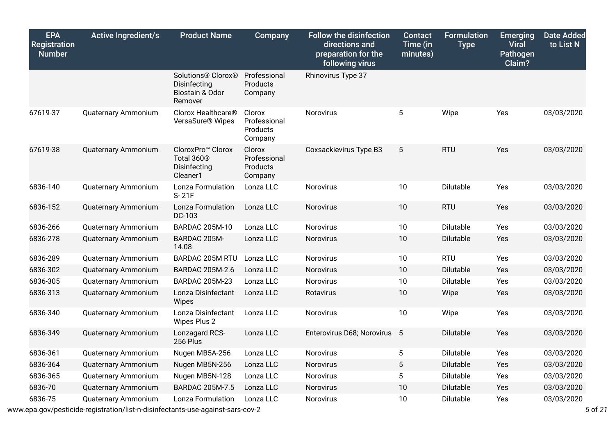| <b>EPA</b><br><b>Registration</b><br><b>Number</b> | <b>Active Ingredient/s</b> | <b>Product Name</b>                                                                 | <b>Company</b>                                | <b>Follow the disinfection</b><br>directions and<br>preparation for the<br>following virus | <b>Contact</b><br>Time (in<br>minutes) | <b>Formulation</b><br><b>Type</b> | <b>Emerging</b><br><b>Viral</b><br>Pathogen<br>Claim? | <b>Date Added</b><br>to List N |
|----------------------------------------------------|----------------------------|-------------------------------------------------------------------------------------|-----------------------------------------------|--------------------------------------------------------------------------------------------|----------------------------------------|-----------------------------------|-------------------------------------------------------|--------------------------------|
|                                                    |                            | Solutions® Clorox®<br>Disinfecting<br>Biostain & Odor<br>Remover                    | Professional<br>Products<br>Company           | Rhinovirus Type 37                                                                         |                                        |                                   |                                                       |                                |
| 67619-37                                           | Quaternary Ammonium        | Clorox Healthcare <sup>®</sup><br>VersaSure <sup>®</sup> Wipes                      | Clorox<br>Professional<br>Products<br>Company | Norovirus                                                                                  | 5                                      | Wipe                              | Yes                                                   | 03/03/2020                     |
| 67619-38                                           | <b>Quaternary Ammonium</b> | CloroxPro <sup>™</sup> Clorox<br>Total 360 <sup>®</sup><br>Disinfecting<br>Cleaner1 | Clorox<br>Professional<br>Products<br>Company | Coxsackievirus Type B3                                                                     | 5                                      | <b>RTU</b>                        | Yes                                                   | 03/03/2020                     |
| 6836-140                                           | Quaternary Ammonium        | Lonza Formulation<br>S-21F                                                          | Lonza LLC                                     | Norovirus                                                                                  | 10                                     | Dilutable                         | Yes                                                   | 03/03/2020                     |
| 6836-152                                           | Quaternary Ammonium        | Lonza Formulation<br>DC-103                                                         | Lonza LLC                                     | Norovirus                                                                                  | 10                                     | <b>RTU</b>                        | Yes                                                   | 03/03/2020                     |
| 6836-266                                           | Quaternary Ammonium        | <b>BARDAC 205M-10</b>                                                               | Lonza LLC                                     | Norovirus                                                                                  | 10                                     | Dilutable                         | Yes                                                   | 03/03/2020                     |
| 6836-278                                           | <b>Quaternary Ammonium</b> | BARDAC 205M-<br>14.08                                                               | Lonza LLC                                     | Norovirus                                                                                  | 10                                     | Dilutable                         | Yes                                                   | 03/03/2020                     |
| 6836-289                                           | Quaternary Ammonium        | <b>BARDAC 205M RTU</b>                                                              | Lonza LLC                                     | Norovirus                                                                                  | 10                                     | <b>RTU</b>                        | Yes                                                   | 03/03/2020                     |
| 6836-302                                           | <b>Quaternary Ammonium</b> | BARDAC 205M-2.6                                                                     | Lonza LLC                                     | Norovirus                                                                                  | 10                                     | Dilutable                         | Yes                                                   | 03/03/2020                     |
| 6836-305                                           | Quaternary Ammonium        | <b>BARDAC 205M-23</b>                                                               | Lonza LLC                                     | Norovirus                                                                                  | 10                                     | Dilutable                         | Yes                                                   | 03/03/2020                     |
| 6836-313                                           | <b>Quaternary Ammonium</b> | Lonza Disinfectant<br>Wipes                                                         | Lonza LLC                                     | Rotavirus                                                                                  | 10                                     | Wipe                              | Yes                                                   | 03/03/2020                     |
| 6836-340                                           | Quaternary Ammonium        | Lonza Disinfectant<br>Wipes Plus 2                                                  | Lonza LLC                                     | Norovirus                                                                                  | 10                                     | Wipe                              | Yes                                                   | 03/03/2020                     |
| 6836-349                                           | Quaternary Ammonium        | Lonzagard RCS-<br>256 Plus                                                          | Lonza LLC                                     | Enterovirus D68; Norovirus 5                                                               |                                        | Dilutable                         | Yes                                                   | 03/03/2020                     |
| 6836-361                                           | <b>Quaternary Ammonium</b> | Nugen MB5A-256                                                                      | Lonza LLC                                     | Norovirus                                                                                  | 5                                      | Dilutable                         | Yes                                                   | 03/03/2020                     |
| 6836-364                                           | Quaternary Ammonium        | Nugen MB5N-256                                                                      | Lonza LLC                                     | Norovirus                                                                                  | $5\phantom{.0}$                        | Dilutable                         | Yes                                                   | 03/03/2020                     |
| 6836-365                                           | Quaternary Ammonium        | Nugen MB5N-128                                                                      | Lonza LLC                                     | Norovirus                                                                                  | 5                                      | Dilutable                         | Yes                                                   | 03/03/2020                     |
| 6836-70                                            | Quaternary Ammonium        | BARDAC 205M-7.5                                                                     | Lonza LLC                                     | Norovirus                                                                                  | 10                                     | Dilutable                         | Yes                                                   | 03/03/2020                     |
| 6836-75                                            | <b>Quaternary Ammonium</b> | Lonza Formulation                                                                   | Lonza LLC                                     | Norovirus                                                                                  | 10                                     | Dilutable                         | Yes                                                   | 03/03/2020                     |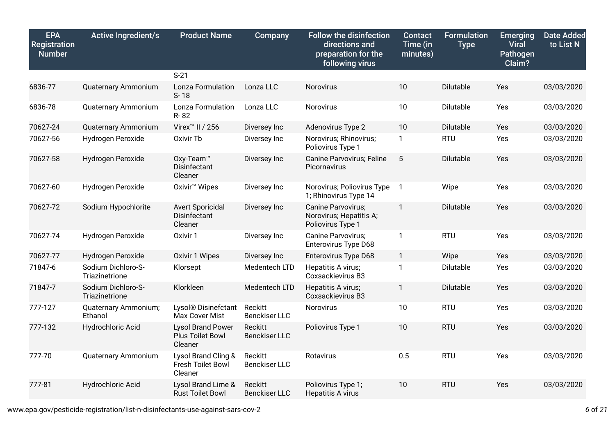| <b>EPA</b><br>Registration<br><b>Number</b> | <b>Active Ingredient/s</b>           | <b>Product Name</b>                                     | Company                         | <b>Follow the disinfection</b><br>directions and<br>preparation for the<br>following virus | <b>Contact</b><br>Time (in<br>minutes) | <b>Formulation</b><br><b>Type</b> | <b>Emerging</b><br><b>Viral</b><br>Pathogen<br>Claim? | <b>Date Added</b><br>to List N |
|---------------------------------------------|--------------------------------------|---------------------------------------------------------|---------------------------------|--------------------------------------------------------------------------------------------|----------------------------------------|-----------------------------------|-------------------------------------------------------|--------------------------------|
|                                             |                                      | $S-21$                                                  |                                 |                                                                                            |                                        |                                   |                                                       |                                |
| 6836-77                                     | Quaternary Ammonium                  | Lonza Formulation<br>S-18                               | Lonza LLC                       | Norovirus                                                                                  | 10                                     | Dilutable                         | Yes                                                   | 03/03/2020                     |
| 6836-78                                     | <b>Quaternary Ammonium</b>           | Lonza Formulation<br>R-82                               | Lonza LLC                       | Norovirus                                                                                  | 10                                     | Dilutable                         | Yes                                                   | 03/03/2020                     |
| 70627-24                                    | Quaternary Ammonium                  | Virex <sup>™</sup> II / 256                             | Diversey Inc                    | Adenovirus Type 2                                                                          | 10                                     | Dilutable                         | Yes                                                   | 03/03/2020                     |
| 70627-56                                    | Hydrogen Peroxide                    | Oxivir Tb                                               | Diversey Inc                    | Norovirus; Rhinovirus;<br>Poliovirus Type 1                                                | $\mathbf{1}$                           | <b>RTU</b>                        | Yes                                                   | 03/03/2020                     |
| 70627-58                                    | Hydrogen Peroxide                    | Oxy-Team <sup>™</sup><br>Disinfectant<br>Cleaner        | Diversey Inc                    | Canine Parvovirus; Feline<br>Picornavirus                                                  | 5                                      | Dilutable                         | Yes                                                   | 03/03/2020                     |
| 70627-60                                    | Hydrogen Peroxide                    | Oxivir <sup>™</sup> Wipes                               | Diversey Inc                    | Norovirus; Poliovirus Type<br>1; Rhinovirus Type 14                                        | $\mathbf{1}$                           | Wipe                              | Yes                                                   | 03/03/2020                     |
| 70627-72                                    | Sodium Hypochlorite                  | <b>Avert Sporicidal</b><br>Disinfectant<br>Cleaner      | Diversey Inc                    | Canine Parvovirus;<br>Norovirus; Hepatitis A;<br>Poliovirus Type 1                         | 1                                      | Dilutable                         | Yes                                                   | 03/03/2020                     |
| 70627-74                                    | Hydrogen Peroxide                    | Oxivir 1                                                | Diversey Inc                    | <b>Canine Parvovirus:</b><br>Enterovirus Type D68                                          | $\mathbf{1}$                           | <b>RTU</b>                        | Yes                                                   | 03/03/2020                     |
| 70627-77                                    | Hydrogen Peroxide                    | Oxivir 1 Wipes                                          | Diversey Inc                    | <b>Enterovirus Type D68</b>                                                                | $\mathbf{1}$                           | Wipe                              | Yes                                                   | 03/03/2020                     |
| 71847-6                                     | Sodium Dichloro-S-<br>Triazinetrione | Klorsept                                                | Medentech LTD                   | Hepatitis A virus;<br>Coxsackievirus B3                                                    | 1                                      | Dilutable                         | Yes                                                   | 03/03/2020                     |
| 71847-7                                     | Sodium Dichloro-S-<br>Triazinetrione | Klorkleen                                               | Medentech LTD                   | Hepatitis A virus;<br>Coxsackievirus B3                                                    | $\mathbf{1}$                           | Dilutable                         | Yes                                                   | 03/03/2020                     |
| 777-127                                     | Quaternary Ammonium;<br>Ethanol      | Lysol <sup>®</sup> Disinefctant<br>Max Cover Mist       | Reckitt<br><b>Benckiser LLC</b> | Norovirus                                                                                  | 10                                     | <b>RTU</b>                        | Yes                                                   | 03/03/2020                     |
| 777-132                                     | Hydrochloric Acid                    | <b>Lysol Brand Power</b><br>Plus Toilet Bowl<br>Cleaner | Reckitt<br><b>Benckiser LLC</b> | Poliovirus Type 1                                                                          | 10                                     | <b>RTU</b>                        | Yes                                                   | 03/03/2020                     |
| 777-70                                      | Quaternary Ammonium                  | Lysol Brand Cling &<br>Fresh Toilet Bowl<br>Cleaner     | Reckitt<br><b>Benckiser LLC</b> | Rotavirus                                                                                  | 0.5                                    | <b>RTU</b>                        | Yes                                                   | 03/03/2020                     |
| 777-81                                      | Hydrochloric Acid                    | Lysol Brand Lime &<br><b>Rust Toilet Bowl</b>           | Reckitt<br><b>Benckiser LLC</b> | Poliovirus Type 1;<br>Hepatitis A virus                                                    | 10                                     | <b>RTU</b>                        | Yes                                                   | 03/03/2020                     |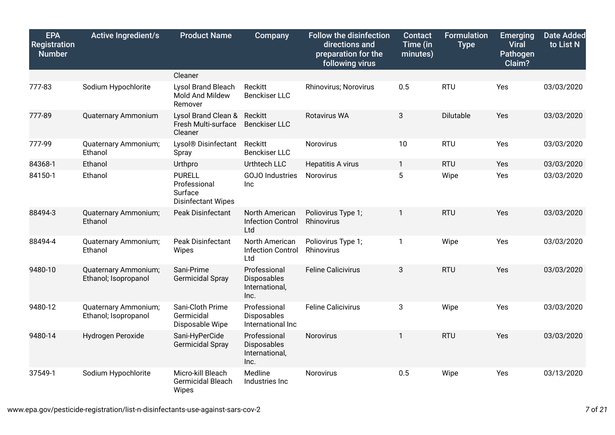| <b>EPA</b><br><b>Registration</b><br><b>Number</b> | <b>Active Ingredient/s</b>                   | <b>Product Name</b>                                                   | Company                                               | <b>Follow the disinfection</b><br>directions and<br>preparation for the<br>following virus | <b>Contact</b><br>Time (in<br>minutes) | <b>Formulation</b><br><b>Type</b> | <b>Emerging</b><br><b>Viral</b><br>Pathogen<br>Claim? | <b>Date Added</b><br>to List N |
|----------------------------------------------------|----------------------------------------------|-----------------------------------------------------------------------|-------------------------------------------------------|--------------------------------------------------------------------------------------------|----------------------------------------|-----------------------------------|-------------------------------------------------------|--------------------------------|
|                                                    |                                              | Cleaner                                                               |                                                       |                                                                                            |                                        |                                   |                                                       |                                |
| 777-83                                             | Sodium Hypochlorite                          | Lysol Brand Bleach<br>Mold And Mildew<br>Remover                      | Reckitt<br><b>Benckiser LLC</b>                       | Rhinovirus; Norovirus                                                                      | 0.5                                    | <b>RTU</b>                        | Yes                                                   | 03/03/2020                     |
| 777-89                                             | Quaternary Ammonium                          | Lysol Brand Clean &<br>Fresh Multi-surface<br>Cleaner                 | Reckitt<br><b>Benckiser LLC</b>                       | <b>Rotavirus WA</b>                                                                        | 3                                      | Dilutable                         | Yes                                                   | 03/03/2020                     |
| 777-99                                             | Quaternary Ammonium;<br>Ethanol              | Lysol <sup>®</sup> Disinfectant<br>Spray                              | Reckitt<br><b>Benckiser LLC</b>                       | Norovirus                                                                                  | 10                                     | <b>RTU</b>                        | Yes                                                   | 03/03/2020                     |
| 84368-1                                            | Ethanol                                      | Urthpro                                                               | Urthtech LLC                                          | Hepatitis A virus                                                                          | $\mathbf{1}$                           | <b>RTU</b>                        | Yes                                                   | 03/03/2020                     |
| 84150-1                                            | Ethanol                                      | <b>PURELL</b><br>Professional<br>Surface<br><b>Disinfectant Wipes</b> | <b>GOJO</b> Industries<br>Inc                         | Norovirus                                                                                  | 5                                      | Wipe                              | Yes                                                   | 03/03/2020                     |
| 88494-3                                            | Quaternary Ammonium;<br>Ethanol              | <b>Peak Disinfectant</b>                                              | North American<br><b>Infection Control</b><br>Ltd     | Poliovirus Type 1;<br>Rhinovirus                                                           | 1                                      | <b>RTU</b>                        | Yes                                                   | 03/03/2020                     |
| 88494-4                                            | Quaternary Ammonium;<br>Ethanol              | <b>Peak Disinfectant</b><br>Wipes                                     | North American<br><b>Infection Control</b><br>Ltd     | Poliovirus Type 1;<br>Rhinovirus                                                           | $\mathbf{1}$                           | Wipe                              | Yes                                                   | 03/03/2020                     |
| 9480-10                                            | Quaternary Ammonium;<br>Ethanol; Isopropanol | Sani-Prime<br>Germicidal Spray                                        | Professional<br>Disposables<br>International,<br>Inc. | <b>Feline Calicivirus</b>                                                                  | 3                                      | <b>RTU</b>                        | Yes                                                   | 03/03/2020                     |
| 9480-12                                            | Quaternary Ammonium;<br>Ethanol; Isopropanol | Sani-Cloth Prime<br>Germicidal<br>Disposable Wipe                     | Professional<br>Disposables<br>International Inc      | <b>Feline Calicivirus</b>                                                                  | 3                                      | Wipe                              | Yes                                                   | 03/03/2020                     |
| 9480-14                                            | Hydrogen Peroxide                            | Sani-HyPerCide<br>Germicidal Spray                                    | Professional<br>Disposables<br>International,<br>Inc. | Norovirus                                                                                  | $\mathbf{1}$                           | <b>RTU</b>                        | Yes                                                   | 03/03/2020                     |
| 37549-1                                            | Sodium Hypochlorite                          | Micro-kill Bleach<br>Germicidal Bleach<br>Wipes                       | Medline<br>Industries Inc                             | Norovirus                                                                                  | 0.5                                    | Wipe                              | Yes                                                   | 03/13/2020                     |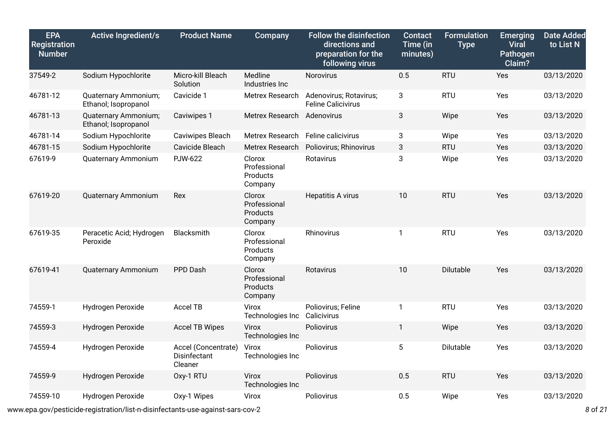| <b>EPA</b><br><b>Registration</b><br><b>Number</b> | <b>Active Ingredient/s</b>                   | <b>Product Name</b>                            | Company                                       | <b>Follow the disinfection</b><br>directions and<br>preparation for the<br>following virus | <b>Contact</b><br>Time (in<br>minutes) | <b>Formulation</b><br><b>Type</b> | <b>Emerging</b><br><b>Viral</b><br>Pathogen<br>Claim? | <b>Date Added</b><br>to List N |
|----------------------------------------------------|----------------------------------------------|------------------------------------------------|-----------------------------------------------|--------------------------------------------------------------------------------------------|----------------------------------------|-----------------------------------|-------------------------------------------------------|--------------------------------|
| 37549-2                                            | Sodium Hypochlorite                          | Micro-kill Bleach<br>Solution                  | Medline<br>Industries Inc                     | Norovirus                                                                                  | 0.5                                    | <b>RTU</b>                        | Yes                                                   | 03/13/2020                     |
| 46781-12                                           | Quaternary Ammonium;<br>Ethanol; Isopropanol | Cavicide 1                                     | Metrex Research                               | Adenovirus; Rotavirus;<br><b>Feline Calicivirus</b>                                        | 3                                      | <b>RTU</b>                        | Yes                                                   | 03/13/2020                     |
| 46781-13                                           | Quaternary Ammonium;<br>Ethanol; Isopropanol | Caviwipes 1                                    | Metrex Research Adenovirus                    |                                                                                            | 3                                      | Wipe                              | Yes                                                   | 03/13/2020                     |
| 46781-14                                           | Sodium Hypochlorite                          | Caviwipes Bleach                               | Metrex Research Feline calicivirus            |                                                                                            | 3                                      | Wipe                              | Yes                                                   | 03/13/2020                     |
| 46781-15                                           | Sodium Hypochlorite                          | Cavicide Bleach                                | Metrex Research                               | Poliovirus; Rhinovirus                                                                     | 3                                      | <b>RTU</b>                        | Yes                                                   | 03/13/2020                     |
| 67619-9                                            | <b>Quaternary Ammonium</b>                   | <b>PJW-622</b>                                 | Clorox<br>Professional<br>Products<br>Company | Rotavirus                                                                                  | 3                                      | Wipe                              | Yes                                                   | 03/13/2020                     |
| 67619-20                                           | <b>Quaternary Ammonium</b>                   | Rex                                            | Clorox<br>Professional<br>Products<br>Company | Hepatitis A virus                                                                          | 10                                     | <b>RTU</b>                        | Yes                                                   | 03/13/2020                     |
| 67619-35                                           | Peracetic Acid; Hydrogen<br>Peroxide         | Blacksmith                                     | Clorox<br>Professional<br>Products<br>Company | Rhinovirus                                                                                 | $\mathbf{1}$                           | <b>RTU</b>                        | Yes                                                   | 03/13/2020                     |
| 67619-41                                           | Quaternary Ammonium                          | PPD Dash                                       | Clorox<br>Professional<br>Products<br>Company | Rotavirus                                                                                  | 10                                     | <b>Dilutable</b>                  | Yes                                                   | 03/13/2020                     |
| 74559-1                                            | Hydrogen Peroxide                            | Accel TB                                       | Virox<br>Technologies Inc                     | Poliovirus; Feline<br>Calicivirus                                                          | $\mathbf{1}$                           | <b>RTU</b>                        | Yes                                                   | 03/13/2020                     |
| 74559-3                                            | Hydrogen Peroxide                            | <b>Accel TB Wipes</b>                          | Virox<br>Technologies Inc                     | Poliovirus                                                                                 | $\mathbf{1}$                           | Wipe                              | Yes                                                   | 03/13/2020                     |
| 74559-4                                            | Hydrogen Peroxide                            | Accel (Concentrate)<br>Disinfectant<br>Cleaner | Virox<br>Technologies Inc                     | Poliovirus                                                                                 | 5                                      | Dilutable                         | Yes                                                   | 03/13/2020                     |
| 74559-9                                            | Hydrogen Peroxide                            | Oxy-1 RTU                                      | Virox<br>Technologies Inc                     | Poliovirus                                                                                 | 0.5                                    | <b>RTU</b>                        | Yes                                                   | 03/13/2020                     |
| 74559-10                                           | Hydrogen Peroxide                            | Oxy-1 Wipes                                    | Virox                                         | Poliovirus                                                                                 | 0.5                                    | Wipe                              | <b>Yes</b>                                            | 03/13/2020                     |

www.epa.gov/pesticide-registration/list-n-disinfectants-use-against-sars-cov-2 *8* of *21*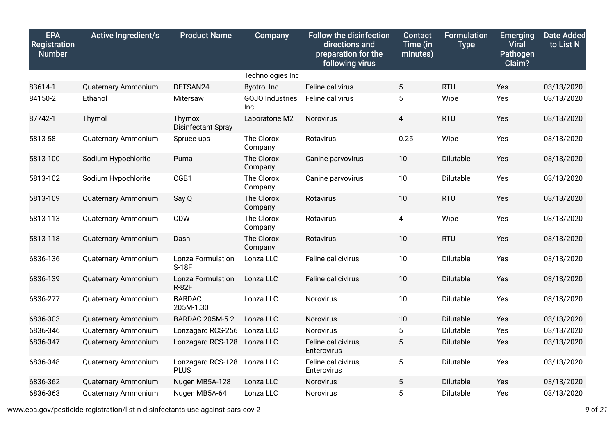| <b>EPA</b><br>Registration<br><b>Number</b> | <b>Active Ingredient/s</b> | <b>Product Name</b>               | Company                              | <b>Follow the disinfection</b><br>directions and<br>preparation for the<br>following virus | <b>Contact</b><br>Time (in<br>minutes) | <b>Formulation</b><br><b>Type</b> | <b>Emerging</b><br><b>Viral</b><br>Pathogen<br>Claim? | <b>Date Added</b><br>to List N |
|---------------------------------------------|----------------------------|-----------------------------------|--------------------------------------|--------------------------------------------------------------------------------------------|----------------------------------------|-----------------------------------|-------------------------------------------------------|--------------------------------|
|                                             |                            |                                   | Technologies Inc                     |                                                                                            |                                        |                                   |                                                       |                                |
| 83614-1                                     | Quaternary Ammonium        | DETSAN24                          | <b>Byotrol Inc</b>                   | Feline calivirus                                                                           | 5                                      | <b>RTU</b>                        | Yes                                                   | 03/13/2020                     |
| 84150-2                                     | Ethanol                    | Mitersaw                          | <b>GOJO</b> Industries<br><b>Inc</b> | Feline calivirus                                                                           | 5                                      | Wipe                              | Yes                                                   | 03/13/2020                     |
| 87742-1                                     | Thymol                     | Thymox<br>Disinfectant Spray      | Laboratorie M2                       | Norovirus                                                                                  | 4                                      | <b>RTU</b>                        | Yes                                                   | 03/13/2020                     |
| 5813-58                                     | Quaternary Ammonium        | Spruce-ups                        | The Clorox<br>Company                | Rotavirus                                                                                  | 0.25                                   | Wipe                              | Yes                                                   | 03/13/2020                     |
| 5813-100                                    | Sodium Hypochlorite        | Puma                              | The Clorox<br>Company                | Canine parvovirus                                                                          | 10                                     | Dilutable                         | Yes                                                   | 03/13/2020                     |
| 5813-102                                    | Sodium Hypochlorite        | CGB1                              | The Clorox<br>Company                | Canine parvovirus                                                                          | 10                                     | Dilutable                         | Yes                                                   | 03/13/2020                     |
| 5813-109                                    | <b>Quaternary Ammonium</b> | Say Q                             | The Clorox<br>Company                | Rotavirus                                                                                  | 10                                     | <b>RTU</b>                        | Yes                                                   | 03/13/2020                     |
| 5813-113                                    | Quaternary Ammonium        | <b>CDW</b>                        | The Clorox<br>Company                | Rotavirus                                                                                  | 4                                      | Wipe                              | Yes                                                   | 03/13/2020                     |
| 5813-118                                    | Quaternary Ammonium        | Dash                              | The Clorox<br>Company                | Rotavirus                                                                                  | 10                                     | <b>RTU</b>                        | Yes                                                   | 03/13/2020                     |
| 6836-136                                    | <b>Quaternary Ammonium</b> | Lonza Formulation<br>S-18F        | Lonza LLC                            | Feline calicivirus                                                                         | 10                                     | Dilutable                         | Yes                                                   | 03/13/2020                     |
| 6836-139                                    | <b>Quaternary Ammonium</b> | Lonza Formulation<br><b>R-82F</b> | Lonza LLC                            | Feline calicivirus                                                                         | 10                                     | Dilutable                         | Yes                                                   | 03/13/2020                     |
| 6836-277                                    | Quaternary Ammonium        | <b>BARDAC</b><br>205M-1.30        | Lonza LLC                            | Norovirus                                                                                  | 10                                     | Dilutable                         | Yes                                                   | 03/13/2020                     |
| 6836-303                                    | <b>Quaternary Ammonium</b> | <b>BARDAC 205M-5.2</b>            | Lonza LLC                            | Norovirus                                                                                  | 10                                     | Dilutable                         | Yes                                                   | 03/13/2020                     |
| 6836-346                                    | <b>Quaternary Ammonium</b> | Lonzagard RCS-256                 | Lonza LLC                            | Norovirus                                                                                  | 5                                      | Dilutable                         | Yes                                                   | 03/13/2020                     |
| 6836-347                                    | <b>Quaternary Ammonium</b> | Lonzagard RCS-128                 | Lonza LLC                            | Feline calicivirus;<br>Enterovirus                                                         | 5                                      | Dilutable                         | Yes                                                   | 03/13/2020                     |
| 6836-348                                    | Quaternary Ammonium        | Lonzagard RCS-128<br><b>PLUS</b>  | Lonza LLC                            | Feline calicivirus;<br>Enterovirus                                                         | 5                                      | Dilutable                         | Yes                                                   | 03/13/2020                     |
| 6836-362                                    | Quaternary Ammonium        | Nugen MB5A-128                    | Lonza LLC                            | Norovirus                                                                                  | $5\phantom{.0}$                        | Dilutable                         | Yes                                                   | 03/13/2020                     |
| 6836-363                                    | <b>Quaternary Ammonium</b> | Nugen MB5A-64                     | Lonza LLC                            | Norovirus                                                                                  | 5                                      | Dilutable                         | Yes                                                   | 03/13/2020                     |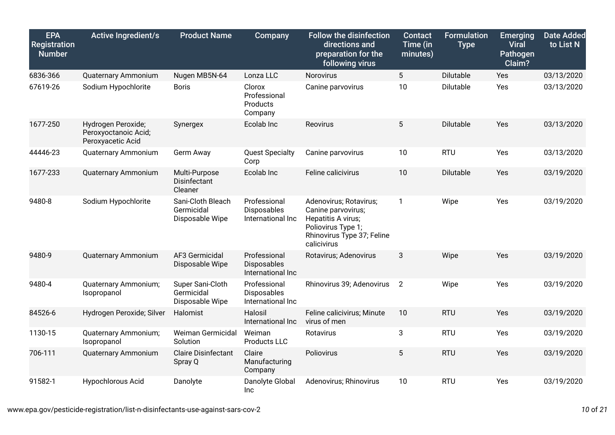| <b>EPA</b><br><b>Registration</b><br><b>Number</b> | <b>Active Ingredient/s</b>                                      | <b>Product Name</b>                                | Company                                          | <b>Follow the disinfection</b><br>directions and<br>preparation for the<br>following virus                                            | <b>Contact</b><br>Time (in<br>minutes) | <b>Formulation</b><br><b>Type</b> | <b>Emerging</b><br><b>Viral</b><br>Pathogen<br>Claim? | <b>Date Added</b><br>to List N |
|----------------------------------------------------|-----------------------------------------------------------------|----------------------------------------------------|--------------------------------------------------|---------------------------------------------------------------------------------------------------------------------------------------|----------------------------------------|-----------------------------------|-------------------------------------------------------|--------------------------------|
| 6836-366                                           | Quaternary Ammonium                                             | Nugen MB5N-64                                      | Lonza LLC                                        | Norovirus                                                                                                                             | $5\phantom{.0}$                        | Dilutable                         | Yes                                                   | 03/13/2020                     |
| 67619-26                                           | Sodium Hypochlorite                                             | <b>Boris</b>                                       | Clorox<br>Professional<br>Products<br>Company    | Canine parvovirus                                                                                                                     | 10                                     | Dilutable                         | Yes                                                   | 03/13/2020                     |
| 1677-250                                           | Hydrogen Peroxide;<br>Peroxyoctanoic Acid;<br>Peroxyacetic Acid | Synergex                                           | Ecolab Inc                                       | Reovirus                                                                                                                              | 5                                      | Dilutable                         | Yes                                                   | 03/13/2020                     |
| 44446-23                                           | Quaternary Ammonium                                             | Germ Away                                          | <b>Quest Specialty</b><br>Corp                   | Canine parvovirus                                                                                                                     | 10                                     | <b>RTU</b>                        | Yes                                                   | 03/13/2020                     |
| 1677-233                                           | Quaternary Ammonium                                             | Multi-Purpose<br>Disinfectant<br>Cleaner           | Ecolab Inc                                       | Feline calicivirus                                                                                                                    | 10                                     | Dilutable                         | Yes                                                   | 03/19/2020                     |
| 9480-8                                             | Sodium Hypochlorite                                             | Sani-Cloth Bleach<br>Germicidal<br>Disposable Wipe | Professional<br>Disposables<br>International Inc | Adenovirus; Rotavirus;<br>Canine parvovirus;<br>Hepatitis A virus;<br>Poliovirus Type 1;<br>Rhinovirus Type 37; Feline<br>calicivirus | $\mathbf{1}$                           | Wipe                              | Yes                                                   | 03/19/2020                     |
| 9480-9                                             | <b>Quaternary Ammonium</b>                                      | AF3 Germicidal<br>Disposable Wipe                  | Professional<br>Disposables<br>International Inc | Rotavirus; Adenovirus                                                                                                                 | 3                                      | Wipe                              | Yes                                                   | 03/19/2020                     |
| 9480-4                                             | Quaternary Ammonium;<br>Isopropanol                             | Super Sani-Cloth<br>Germicidal<br>Disposable Wipe  | Professional<br>Disposables<br>International Inc | Rhinovirus 39; Adenovirus                                                                                                             | $\overline{2}$                         | Wipe                              | Yes                                                   | 03/19/2020                     |
| 84526-6                                            | Hydrogen Peroxide; Silver                                       | Halomist                                           | Halosil<br>International Inc                     | Feline calicivirus; Minute<br>virus of men                                                                                            | 10                                     | <b>RTU</b>                        | Yes                                                   | 03/19/2020                     |
| 1130-15                                            | Quaternary Ammonium;<br>Isopropanol                             | Weiman Germicidal<br>Solution                      | Weiman<br>Products LLC                           | Rotavirus                                                                                                                             | 3                                      | <b>RTU</b>                        | Yes                                                   | 03/19/2020                     |
| 706-111                                            | <b>Quaternary Ammonium</b>                                      | <b>Claire Disinfectant</b><br>Spray Q              | Claire<br>Manufacturing<br>Company               | Poliovirus                                                                                                                            | 5                                      | <b>RTU</b>                        | Yes                                                   | 03/19/2020                     |
| 91582-1                                            | Hypochlorous Acid                                               | Danolyte                                           | Danolyte Global<br>Inc                           | Adenovirus; Rhinovirus                                                                                                                | 10                                     | <b>RTU</b>                        | Yes                                                   | 03/19/2020                     |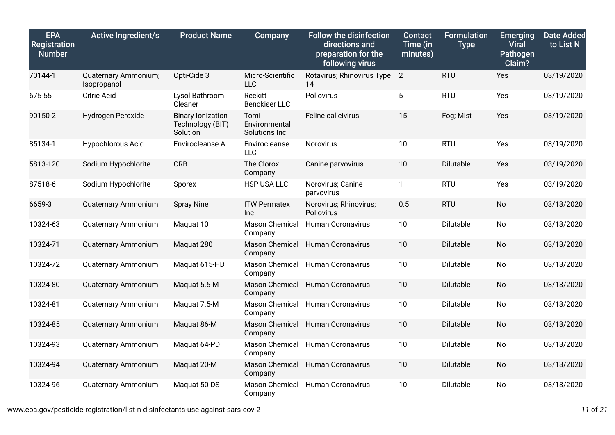| <b>EPA</b><br>Registration<br><b>Number</b> | <b>Active Ingredient/s</b>          | <b>Product Name</b>                                      | Company                                | <b>Follow the disinfection</b><br>directions and<br>preparation for the<br>following virus | <b>Contact</b><br>Time (in<br>minutes) | <b>Formulation</b><br><b>Type</b> | <b>Emerging</b><br><b>Viral</b><br>Pathogen<br>Claim? | <b>Date Added</b><br>to List N |
|---------------------------------------------|-------------------------------------|----------------------------------------------------------|----------------------------------------|--------------------------------------------------------------------------------------------|----------------------------------------|-----------------------------------|-------------------------------------------------------|--------------------------------|
| 70144-1                                     | Quaternary Ammonium;<br>Isopropanol | Opti-Cide 3                                              | Micro-Scientific<br><b>LLC</b>         | Rotavirus; Rhinovirus Type 2<br>14                                                         |                                        | <b>RTU</b>                        | Yes                                                   | 03/19/2020                     |
| 675-55                                      | <b>Citric Acid</b>                  | Lysol Bathroom<br>Cleaner                                | Reckitt<br><b>Benckiser LLC</b>        | Poliovirus                                                                                 | 5                                      | <b>RTU</b>                        | Yes                                                   | 03/19/2020                     |
| 90150-2                                     | Hydrogen Peroxide                   | <b>Binary lonization</b><br>Technology (BIT)<br>Solution | Tomi<br>Environmental<br>Solutions Inc | Feline calicivirus                                                                         | 15                                     | Fog; Mist                         | Yes                                                   | 03/19/2020                     |
| 85134-1                                     | <b>Hypochlorous Acid</b>            | Envirocleanse A                                          | Envirocleanse<br><b>LLC</b>            | Norovirus                                                                                  | 10                                     | <b>RTU</b>                        | Yes                                                   | 03/19/2020                     |
| 5813-120                                    | Sodium Hypochlorite                 | <b>CRB</b>                                               | The Clorox<br>Company                  | Canine parvovirus                                                                          | 10                                     | Dilutable                         | Yes                                                   | 03/19/2020                     |
| 87518-6                                     | Sodium Hypochlorite                 | Sporex                                                   | HSP USA LLC                            | Norovirus; Canine<br>parvovirus                                                            | $\mathbf{1}$                           | <b>RTU</b>                        | Yes                                                   | 03/19/2020                     |
| 6659-3                                      | <b>Quaternary Ammonium</b>          | <b>Spray Nine</b>                                        | <b>ITW Permatex</b><br><b>Inc</b>      | Norovirus; Rhinovirus;<br>Poliovirus                                                       | 0.5                                    | <b>RTU</b>                        | <b>No</b>                                             | 03/13/2020                     |
| 10324-63                                    | Quaternary Ammonium                 | Maquat 10                                                | <b>Mason Chemical</b><br>Company       | <b>Human Coronavirus</b>                                                                   | 10                                     | Dilutable                         | No                                                    | 03/13/2020                     |
| 10324-71                                    | Quaternary Ammonium                 | Maquat 280                                               | Mason Chemical<br>Company              | <b>Human Coronavirus</b>                                                                   | 10                                     | Dilutable                         | No                                                    | 03/13/2020                     |
| 10324-72                                    | <b>Quaternary Ammonium</b>          | Maquat 615-HD                                            | Mason Chemical<br>Company              | <b>Human Coronavirus</b>                                                                   | 10                                     | Dilutable                         | <b>No</b>                                             | 03/13/2020                     |
| 10324-80                                    | <b>Quaternary Ammonium</b>          | Maquat 5.5-M                                             | <b>Mason Chemical</b><br>Company       | <b>Human Coronavirus</b>                                                                   | 10                                     | Dilutable                         | <b>No</b>                                             | 03/13/2020                     |
| 10324-81                                    | Quaternary Ammonium                 | Maquat 7.5-M                                             | Mason Chemical<br>Company              | <b>Human Coronavirus</b>                                                                   | 10                                     | Dilutable                         | No                                                    | 03/13/2020                     |
| 10324-85                                    | <b>Quaternary Ammonium</b>          | Maquat 86-M                                              | Mason Chemical<br>Company              | <b>Human Coronavirus</b>                                                                   | 10                                     | Dilutable                         | <b>No</b>                                             | 03/13/2020                     |
| 10324-93                                    | <b>Quaternary Ammonium</b>          | Maquat 64-PD                                             | <b>Mason Chemical</b><br>Company       | <b>Human Coronavirus</b>                                                                   | 10                                     | Dilutable                         | <b>No</b>                                             | 03/13/2020                     |
| 10324-94                                    | Quaternary Ammonium                 | Maquat 20-M                                              | Mason Chemical<br>Company              | <b>Human Coronavirus</b>                                                                   | 10                                     | Dilutable                         | <b>No</b>                                             | 03/13/2020                     |
| 10324-96                                    | <b>Quaternary Ammonium</b>          | Maquat 50-DS                                             | Mason Chemical<br>Company              | <b>Human Coronavirus</b>                                                                   | 10                                     | Dilutable                         | No                                                    | 03/13/2020                     |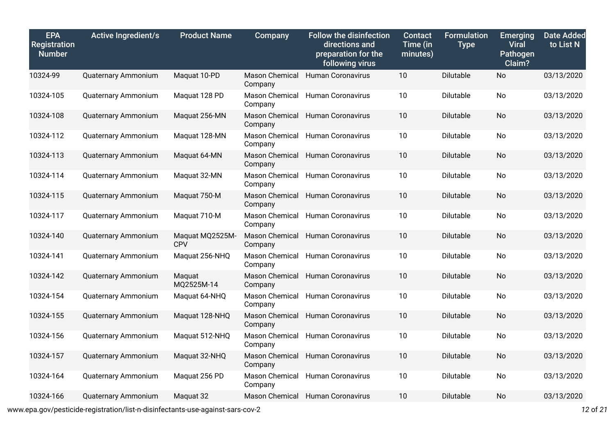| <b>EPA</b><br>Registration<br><b>Number</b> | <b>Active Ingredient/s</b> | <b>Product Name</b>    | Company                          | <b>Follow the disinfection</b><br>directions and<br>preparation for the<br>following virus | <b>Contact</b><br>Time (in<br>minutes) | <b>Formulation</b><br><b>Type</b> | <b>Emerging</b><br><b>Viral</b><br>Pathogen<br>Claim? | <b>Date Added</b><br>to List N |
|---------------------------------------------|----------------------------|------------------------|----------------------------------|--------------------------------------------------------------------------------------------|----------------------------------------|-----------------------------------|-------------------------------------------------------|--------------------------------|
| 10324-99                                    | <b>Quaternary Ammonium</b> | Maquat 10-PD           | <b>Mason Chemical</b><br>Company | <b>Human Coronavirus</b>                                                                   | 10                                     | Dilutable                         | <b>No</b>                                             | 03/13/2020                     |
| 10324-105                                   | <b>Quaternary Ammonium</b> | Maquat 128 PD          | Mason Chemical<br>Company        | <b>Human Coronavirus</b>                                                                   | 10                                     | Dilutable                         | <b>No</b>                                             | 03/13/2020                     |
| 10324-108                                   | <b>Quaternary Ammonium</b> | Maquat 256-MN          | Mason Chemical<br>Company        | <b>Human Coronavirus</b>                                                                   | 10                                     | <b>Dilutable</b>                  | No                                                    | 03/13/2020                     |
| 10324-112                                   | Quaternary Ammonium        | Maquat 128-MN          | Mason Chemical<br>Company        | <b>Human Coronavirus</b>                                                                   | 10                                     | Dilutable                         | No.                                                   | 03/13/2020                     |
| 10324-113                                   | Quaternary Ammonium        | Maquat 64-MN           | Mason Chemical<br>Company        | <b>Human Coronavirus</b>                                                                   | 10                                     | Dilutable                         | <b>No</b>                                             | 03/13/2020                     |
| 10324-114                                   | <b>Quaternary Ammonium</b> | Maquat 32-MN           | Mason Chemical<br>Company        | <b>Human Coronavirus</b>                                                                   | 10                                     | Dilutable                         | No                                                    | 03/13/2020                     |
| 10324-115                                   | <b>Quaternary Ammonium</b> | Maquat 750-M           | Mason Chemical<br>Company        | <b>Human Coronavirus</b>                                                                   | 10                                     | Dilutable                         | No                                                    | 03/13/2020                     |
| 10324-117                                   | <b>Quaternary Ammonium</b> | Maquat 710-M           | Mason Chemical<br>Company        | <b>Human Coronavirus</b>                                                                   | 10                                     | Dilutable                         | No                                                    | 03/13/2020                     |
| 10324-140                                   | Quaternary Ammonium        | Maquat MQ2525M-<br>CPV | Mason Chemical<br>Company        | <b>Human Coronavirus</b>                                                                   | 10                                     | Dilutable                         | <b>No</b>                                             | 03/13/2020                     |
| 10324-141                                   | Quaternary Ammonium        | Maquat 256-NHQ         | Mason Chemical<br>Company        | <b>Human Coronavirus</b>                                                                   | 10                                     | Dilutable                         | <b>No</b>                                             | 03/13/2020                     |
| 10324-142                                   | <b>Quaternary Ammonium</b> | Maquat<br>MQ2525M-14   | Mason Chemical<br>Company        | <b>Human Coronavirus</b>                                                                   | 10                                     | <b>Dilutable</b>                  | <b>No</b>                                             | 03/13/2020                     |
| 10324-154                                   | <b>Quaternary Ammonium</b> | Maquat 64-NHQ          | Mason Chemical<br>Company        | <b>Human Coronavirus</b>                                                                   | 10                                     | Dilutable                         | No                                                    | 03/13/2020                     |
| 10324-155                                   | Quaternary Ammonium        | Maquat 128-NHQ         | Mason Chemical<br>Company        | <b>Human Coronavirus</b>                                                                   | 10                                     | Dilutable                         | <b>No</b>                                             | 03/13/2020                     |
| 10324-156                                   | Quaternary Ammonium        | Maquat 512-NHQ         | Mason Chemical<br>Company        | Human Coronavirus                                                                          | 10                                     | Dilutable                         | <b>No</b>                                             | 03/13/2020                     |
| 10324-157                                   | <b>Quaternary Ammonium</b> | Maquat 32-NHQ          | Mason Chemical<br>Company        | Human Coronavirus                                                                          | 10                                     | Dilutable                         | <b>No</b>                                             | 03/13/2020                     |
| 10324-164                                   | <b>Quaternary Ammonium</b> | Maquat 256 PD          | Mason Chemical<br>Company        | <b>Human Coronavirus</b>                                                                   | 10                                     | Dilutable                         | <b>No</b>                                             | 03/13/2020                     |
| 10324-166                                   | Quaternary Ammonium        | Maquat 32              |                                  | Mason Chemical Human Coronavirus                                                           | 10                                     | <b>Dilutable</b>                  | <b>No</b>                                             | 03/13/2020                     |

www.epa.gov/pesticide-registration/list-n-disinfectants-use-against-sars-cov-2 *12* of *21*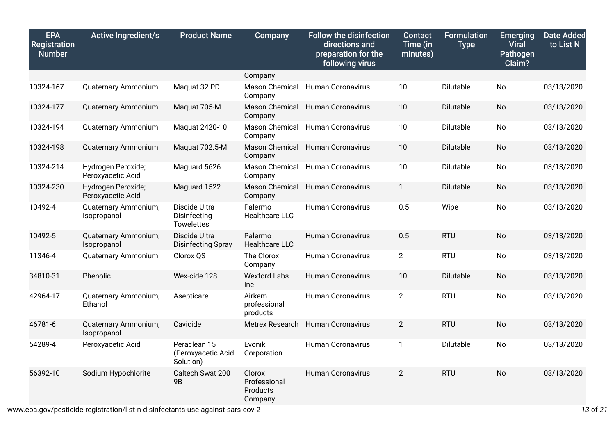| <b>EPA</b><br>Registration<br><b>Number</b> | <b>Active Ingredient/s</b>              | <b>Product Name</b>                                | Company                                       | <b>Follow the disinfection</b><br>directions and<br>preparation for the<br>following virus | <b>Contact</b><br>Time (in<br>minutes) | <b>Formulation</b><br><b>Type</b> | <b>Emerging</b><br><b>Viral</b><br>Pathogen<br>Claim? | <b>Date Added</b><br>to List N |
|---------------------------------------------|-----------------------------------------|----------------------------------------------------|-----------------------------------------------|--------------------------------------------------------------------------------------------|----------------------------------------|-----------------------------------|-------------------------------------------------------|--------------------------------|
|                                             |                                         |                                                    | Company                                       |                                                                                            |                                        |                                   |                                                       |                                |
| 10324-167                                   | <b>Quaternary Ammonium</b>              | Maquat 32 PD                                       | Mason Chemical<br>Company                     | <b>Human Coronavirus</b>                                                                   | 10                                     | Dilutable                         | No                                                    | 03/13/2020                     |
| 10324-177                                   | Quaternary Ammonium                     | Maquat 705-M                                       | <b>Mason Chemical</b><br>Company              | <b>Human Coronavirus</b>                                                                   | 10                                     | Dilutable                         | <b>No</b>                                             | 03/13/2020                     |
| 10324-194                                   | Quaternary Ammonium                     | Maquat 2420-10                                     | Mason Chemical<br>Company                     | <b>Human Coronavirus</b>                                                                   | 10                                     | Dilutable                         | No                                                    | 03/13/2020                     |
| 10324-198                                   | <b>Quaternary Ammonium</b>              | Maquat 702.5-M                                     | <b>Mason Chemical</b><br>Company              | <b>Human Coronavirus</b>                                                                   | 10                                     | Dilutable                         | No                                                    | 03/13/2020                     |
| 10324-214                                   | Hydrogen Peroxide;<br>Peroxyacetic Acid | Maguard 5626                                       | Mason Chemical<br>Company                     | <b>Human Coronavirus</b>                                                                   | 10                                     | Dilutable                         | No                                                    | 03/13/2020                     |
| 10324-230                                   | Hydrogen Peroxide;<br>Peroxyacetic Acid | Maguard 1522                                       | <b>Mason Chemical</b><br>Company              | <b>Human Coronavirus</b>                                                                   | $\mathbf{1}$                           | Dilutable                         | <b>No</b>                                             | 03/13/2020                     |
| 10492-4                                     | Quaternary Ammonium;<br>Isopropanol     | Discide Ultra<br>Disinfecting<br><b>Towelettes</b> | Palermo<br><b>Healthcare LLC</b>              | <b>Human Coronavirus</b>                                                                   | 0.5                                    | Wipe                              | No                                                    | 03/13/2020                     |
| 10492-5                                     | Quaternary Ammonium;<br>Isopropanol     | Discide Ultra<br><b>Disinfecting Spray</b>         | Palermo<br><b>Healthcare LLC</b>              | <b>Human Coronavirus</b>                                                                   | 0.5                                    | <b>RTU</b>                        | <b>No</b>                                             | 03/13/2020                     |
| 11346-4                                     | Quaternary Ammonium                     | Clorox QS                                          | The Clorox<br>Company                         | <b>Human Coronavirus</b>                                                                   | $\overline{2}$                         | <b>RTU</b>                        | <b>No</b>                                             | 03/13/2020                     |
| 34810-31                                    | Phenolic                                | Wex-cide 128                                       | <b>Wexford Labs</b><br>Inc                    | <b>Human Coronavirus</b>                                                                   | 10                                     | Dilutable                         | <b>No</b>                                             | 03/13/2020                     |
| 42964-17                                    | Quaternary Ammonium;<br>Ethanol         | Asepticare                                         | Airkem<br>professional<br>products            | <b>Human Coronavirus</b>                                                                   | $\overline{2}$                         | <b>RTU</b>                        | <b>No</b>                                             | 03/13/2020                     |
| 46781-6                                     | Quaternary Ammonium;<br>Isopropanol     | Cavicide                                           | Metrex Research                               | <b>Human Coronavirus</b>                                                                   | $\overline{2}$                         | <b>RTU</b>                        | No                                                    | 03/13/2020                     |
| 54289-4                                     | Peroxyacetic Acid                       | Peraclean 15<br>(Peroxyacetic Acid<br>Solution)    | Evonik<br>Corporation                         | <b>Human Coronavirus</b>                                                                   | $\mathbf{1}$                           | Dilutable                         | <b>No</b>                                             | 03/13/2020                     |
| 56392-10                                    | Sodium Hypochlorite                     | Caltech Swat 200<br>9B                             | Clorox<br>Professional<br>Products<br>Company | <b>Human Coronavirus</b>                                                                   | $\overline{2}$                         | <b>RTU</b>                        | <b>No</b>                                             | 03/13/2020                     |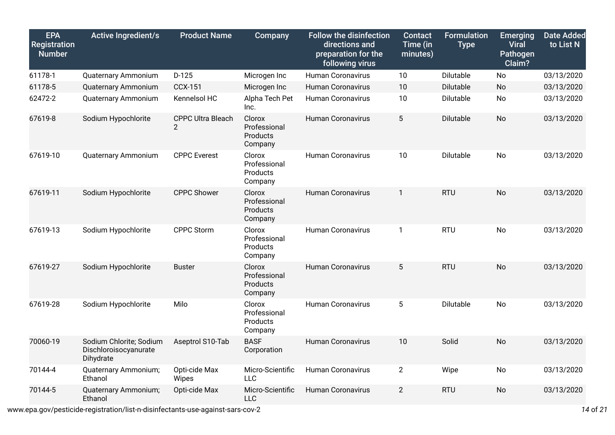| <b>EPA</b><br>Registration<br><b>Number</b> | <b>Active Ingredient/s</b>                                    | <b>Product Name</b>           | Company                                       | <b>Follow the disinfection</b><br>directions and<br>preparation for the<br>following virus | <b>Contact</b><br>Time (in<br>minutes) | <b>Formulation</b><br><b>Type</b> | <b>Emerging</b><br><b>Viral</b><br>Pathogen<br>Claim? | <b>Date Added</b><br>to List N |
|---------------------------------------------|---------------------------------------------------------------|-------------------------------|-----------------------------------------------|--------------------------------------------------------------------------------------------|----------------------------------------|-----------------------------------|-------------------------------------------------------|--------------------------------|
| 61178-1                                     | <b>Quaternary Ammonium</b>                                    | $D-125$                       | Microgen Inc                                  | <b>Human Coronavirus</b>                                                                   | 10                                     | Dilutable                         | <b>No</b>                                             | 03/13/2020                     |
| 61178-5                                     | <b>Quaternary Ammonium</b>                                    | <b>CCX-151</b>                | Microgen Inc                                  | <b>Human Coronavirus</b>                                                                   | 10                                     | Dilutable                         | No                                                    | 03/13/2020                     |
| 62472-2                                     | Quaternary Ammonium                                           | Kennelsol HC                  | Alpha Tech Pet<br>Inc.                        | <b>Human Coronavirus</b>                                                                   | 10                                     | Dilutable                         | <b>No</b>                                             | 03/13/2020                     |
| 67619-8                                     | Sodium Hypochlorite                                           | <b>CPPC Ultra Bleach</b><br>2 | Clorox<br>Professional<br>Products<br>Company | <b>Human Coronavirus</b>                                                                   | $5\phantom{.0}$                        | Dilutable                         | <b>No</b>                                             | 03/13/2020                     |
| 67619-10                                    | Quaternary Ammonium                                           | <b>CPPC Everest</b>           | Clorox<br>Professional<br>Products<br>Company | <b>Human Coronavirus</b>                                                                   | 10                                     | Dilutable                         | <b>No</b>                                             | 03/13/2020                     |
| 67619-11                                    | Sodium Hypochlorite                                           | <b>CPPC Shower</b>            | Clorox<br>Professional<br>Products<br>Company | Human Coronavirus                                                                          | $\mathbf{1}$                           | <b>RTU</b>                        | <b>No</b>                                             | 03/13/2020                     |
| 67619-13                                    | Sodium Hypochlorite                                           | <b>CPPC Storm</b>             | Clorox<br>Professional<br>Products<br>Company | <b>Human Coronavirus</b>                                                                   | $\mathbf{1}$                           | <b>RTU</b>                        | No                                                    | 03/13/2020                     |
| 67619-27                                    | Sodium Hypochlorite                                           | <b>Buster</b>                 | Clorox<br>Professional<br>Products<br>Company | <b>Human Coronavirus</b>                                                                   | 5                                      | <b>RTU</b>                        | No                                                    | 03/13/2020                     |
| 67619-28                                    | Sodium Hypochlorite                                           | Milo                          | Clorox<br>Professional<br>Products<br>Company | <b>Human Coronavirus</b>                                                                   | 5                                      | Dilutable                         | No                                                    | 03/13/2020                     |
| 70060-19                                    | Sodium Chlorite; Sodium<br>Dischloroisocyanurate<br>Dihydrate | Aseptrol S10-Tab              | <b>BASF</b><br>Corporation                    | <b>Human Coronavirus</b>                                                                   | 10                                     | Solid                             | No                                                    | 03/13/2020                     |
| 70144-4                                     | Quaternary Ammonium;<br>Ethanol                               | Opti-cide Max<br>Wipes        | Micro-Scientific<br><b>LLC</b>                | <b>Human Coronavirus</b>                                                                   | $\overline{2}$                         | Wipe                              | No                                                    | 03/13/2020                     |
| 70144-5                                     | Quaternary Ammonium;<br>Ethanol                               | Opti-cide Max                 | Micro-Scientific<br><b>LLC</b>                | <b>Human Coronavirus</b>                                                                   | $\overline{2}$                         | <b>RTU</b>                        | No                                                    | 03/13/2020                     |
|                                             |                                                               |                               |                                               |                                                                                            |                                        |                                   |                                                       |                                |

www.epa.gov/pesticide-registration/list-n-disinfectants-use-against-sars-cov-2 *14* of *21*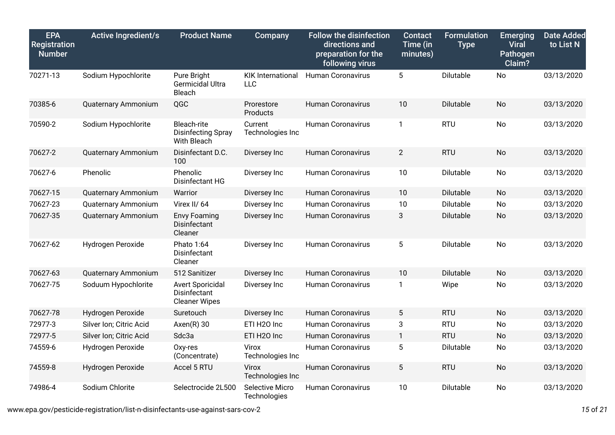| <b>EPA</b><br>Registration<br><b>Number</b> | <b>Active Ingredient/s</b> | <b>Product Name</b>                                             | Company                         | <b>Follow the disinfection</b><br>directions and<br>preparation for the<br>following virus | <b>Contact</b><br>Time (in<br>minutes) | <b>Formulation</b><br><b>Type</b> | <b>Emerging</b><br><b>Viral</b><br>Pathogen<br>Claim? | <b>Date Added</b><br>to List N |
|---------------------------------------------|----------------------------|-----------------------------------------------------------------|---------------------------------|--------------------------------------------------------------------------------------------|----------------------------------------|-----------------------------------|-------------------------------------------------------|--------------------------------|
| 70271-13                                    | Sodium Hypochlorite        | Pure Bright<br>Germicidal Ultra<br>Bleach                       | <b>KIK International</b><br>LLC | <b>Human Coronavirus</b>                                                                   | 5                                      | Dilutable                         | <b>No</b>                                             | 03/13/2020                     |
| 70385-6                                     | Quaternary Ammonium        | QGC                                                             | Prorestore<br>Products          | <b>Human Coronavirus</b>                                                                   | 10                                     | Dilutable                         | <b>No</b>                                             | 03/13/2020                     |
| 70590-2                                     | Sodium Hypochlorite        | Bleach-rite<br><b>Disinfecting Spray</b><br>With Bleach         | Current<br>Technologies Inc     | <b>Human Coronavirus</b>                                                                   | $\mathbf{1}$                           | <b>RTU</b>                        | <b>No</b>                                             | 03/13/2020                     |
| 70627-2                                     | Quaternary Ammonium        | Disinfectant D.C.<br>100                                        | Diversey Inc                    | <b>Human Coronavirus</b>                                                                   | $\overline{2}$                         | <b>RTU</b>                        | No                                                    | 03/13/2020                     |
| 70627-6                                     | Phenolic                   | Phenolic<br>Disinfectant HG                                     | Diversey Inc                    | <b>Human Coronavirus</b>                                                                   | 10                                     | Dilutable                         | No                                                    | 03/13/2020                     |
| 70627-15                                    | Quaternary Ammonium        | Warrior                                                         | Diversey Inc                    | <b>Human Coronavirus</b>                                                                   | 10                                     | Dilutable                         | <b>No</b>                                             | 03/13/2020                     |
| 70627-23                                    | <b>Quaternary Ammonium</b> | Virex II/64                                                     | Diversey Inc                    | <b>Human Coronavirus</b>                                                                   | 10                                     | Dilutable                         | <b>No</b>                                             | 03/13/2020                     |
| 70627-35                                    | <b>Quaternary Ammonium</b> | <b>Envy Foaming</b><br>Disinfectant<br>Cleaner                  | Diversey Inc                    | <b>Human Coronavirus</b>                                                                   | 3                                      | Dilutable                         | <b>No</b>                                             | 03/13/2020                     |
| 70627-62                                    | Hydrogen Peroxide          | Phato 1:64<br>Disinfectant<br>Cleaner                           | Diversey Inc                    | <b>Human Coronavirus</b>                                                                   | 5                                      | Dilutable                         | <b>No</b>                                             | 03/13/2020                     |
| 70627-63                                    | Quaternary Ammonium        | 512 Sanitizer                                                   | Diversey Inc                    | <b>Human Coronavirus</b>                                                                   | 10                                     | Dilutable                         | <b>No</b>                                             | 03/13/2020                     |
| 70627-75                                    | Soduum Hypochlorite        | <b>Avert Sporicidal</b><br>Disinfectant<br><b>Cleaner Wipes</b> | Diversey Inc                    | Human Coronavirus                                                                          | $\mathbf{1}$                           | Wipe                              | <b>No</b>                                             | 03/13/2020                     |
| 70627-78                                    | Hydrogen Peroxide          | Suretouch                                                       | Diversey Inc                    | <b>Human Coronavirus</b>                                                                   | 5                                      | <b>RTU</b>                        | <b>No</b>                                             | 03/13/2020                     |
| 72977-3                                     | Silver Ion; Citric Acid    | $A$ xen $(R)$ 30                                                | ETI H2O Inc                     | <b>Human Coronavirus</b>                                                                   | 3                                      | <b>RTU</b>                        | No                                                    | 03/13/2020                     |
| 72977-5                                     | Silver Ion; Citric Acid    | Sdc3a                                                           | ETI H2O Inc                     | <b>Human Coronavirus</b>                                                                   | $\mathbf{1}$                           | <b>RTU</b>                        | <b>No</b>                                             | 03/13/2020                     |
| 74559-6                                     | Hydrogen Peroxide          | Oxy-res<br>(Concentrate)                                        | Virox<br>Technologies Inc       | <b>Human Coronavirus</b>                                                                   | 5                                      | Dilutable                         | No                                                    | 03/13/2020                     |
| 74559-8                                     | Hydrogen Peroxide          | Accel 5 RTU                                                     | Virox<br>Technologies Inc       | <b>Human Coronavirus</b>                                                                   | 5                                      | <b>RTU</b>                        | <b>No</b>                                             | 03/13/2020                     |
| 74986-4                                     | Sodium Chlorite            | Selectrocide 2L500                                              | Selective Micro<br>Technologies | <b>Human Coronavirus</b>                                                                   | 10                                     | Dilutable                         | No                                                    | 03/13/2020                     |

www.epa.gov/pesticide-registration/list-n-disinfectants-use-against-sars-cov-2 *15* of *21*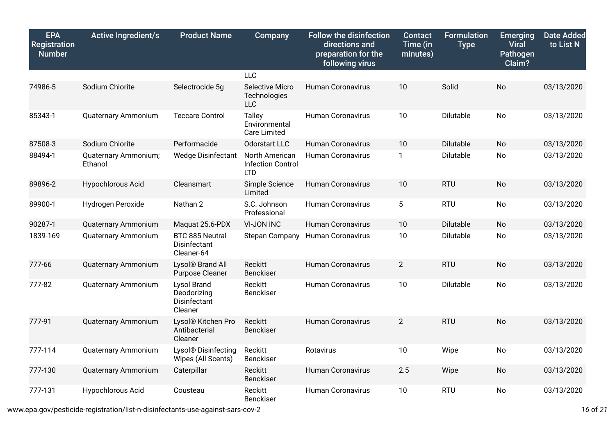| <b>EPA</b><br><b>Registration</b><br><b>Number</b> | <b>Active Ingredient/s</b>      | <b>Product Name</b>                                   | Company                                                  | <b>Follow the disinfection</b><br>directions and<br>preparation for the<br>following virus | <b>Contact</b><br>Time (in<br>minutes) | <b>Formulation</b><br><b>Type</b> | <b>Emerging</b><br><b>Viral</b><br><b>Pathogen</b><br>Claim? | <b>Date Added</b><br>to List N |
|----------------------------------------------------|---------------------------------|-------------------------------------------------------|----------------------------------------------------------|--------------------------------------------------------------------------------------------|----------------------------------------|-----------------------------------|--------------------------------------------------------------|--------------------------------|
|                                                    |                                 |                                                       | <b>LLC</b>                                               |                                                                                            |                                        |                                   |                                                              |                                |
| 74986-5                                            | Sodium Chlorite                 | Selectrocide 5g                                       | <b>Selective Micro</b><br>Technologies<br><b>LLC</b>     | <b>Human Coronavirus</b>                                                                   | 10                                     | Solid                             | <b>No</b>                                                    | 03/13/2020                     |
| 85343-1                                            | <b>Quaternary Ammonium</b>      | <b>Teccare Control</b>                                | <b>Talley</b><br>Environmental<br><b>Care Limited</b>    | <b>Human Coronavirus</b>                                                                   | 10                                     | Dilutable                         | <b>No</b>                                                    | 03/13/2020                     |
| 87508-3                                            | Sodium Chlorite                 | Performacide                                          | Odorstart LLC                                            | <b>Human Coronavirus</b>                                                                   | 10                                     | Dilutable                         | <b>No</b>                                                    | 03/13/2020                     |
| 88494-1                                            | Quaternary Ammonium;<br>Ethanol | <b>Wedge Disinfectant</b>                             | North American<br><b>Infection Control</b><br><b>LTD</b> | <b>Human Coronavirus</b>                                                                   | $\mathbf{1}$                           | Dilutable                         | No                                                           | 03/13/2020                     |
| 89896-2                                            | Hypochlorous Acid               | Cleansmart                                            | Simple Science<br>Limited                                | <b>Human Coronavirus</b>                                                                   | 10                                     | <b>RTU</b>                        | No                                                           | 03/13/2020                     |
| 89900-1                                            | Hydrogen Peroxide               | Nathan 2                                              | S.C. Johnson<br>Professional                             | <b>Human Coronavirus</b>                                                                   | 5                                      | <b>RTU</b>                        | No                                                           | 03/13/2020                     |
| 90287-1                                            | <b>Quaternary Ammonium</b>      | Maquat 25.6-PDX                                       | <b>VI-JON INC</b>                                        | <b>Human Coronavirus</b>                                                                   | 10                                     | Dilutable                         | <b>No</b>                                                    | 03/13/2020                     |
| 1839-169                                           | Quaternary Ammonium             | BTC 885 Neutral<br>Disinfectant<br>Cleaner-64         | <b>Stepan Company</b>                                    | <b>Human Coronavirus</b>                                                                   | 10                                     | Dilutable                         | <b>No</b>                                                    | 03/13/2020                     |
| 777-66                                             | Quaternary Ammonium             | Lysol <sup>®</sup> Brand All<br>Purpose Cleaner       | Reckitt<br>Benckiser                                     | <b>Human Coronavirus</b>                                                                   | $2^{\circ}$                            | <b>RTU</b>                        | <b>No</b>                                                    | 03/13/2020                     |
| 777-82                                             | Quaternary Ammonium             | Lysol Brand<br>Deodorizing<br>Disinfectant<br>Cleaner | Reckitt<br>Benckiser                                     | <b>Human Coronavirus</b>                                                                   | 10                                     | Dilutable                         | No                                                           | 03/13/2020                     |
| 777-91                                             | Quaternary Ammonium             | Lysol® Kitchen Pro<br>Antibacterial<br>Cleaner        | Reckitt<br><b>Benckiser</b>                              | <b>Human Coronavirus</b>                                                                   | $\overline{2}$                         | <b>RTU</b>                        | <b>No</b>                                                    | 03/13/2020                     |
| 777-114                                            | Quaternary Ammonium             | Lysol® Disinfecting<br>Wipes (All Scents)             | Reckitt<br>Benckiser                                     | Rotavirus                                                                                  | 10                                     | Wipe                              | No                                                           | 03/13/2020                     |
| 777-130                                            | Quaternary Ammonium             | Caterpillar                                           | <b>Reckitt</b><br>Benckiser                              | <b>Human Coronavirus</b>                                                                   | 2.5                                    | Wipe                              | No                                                           | 03/13/2020                     |
| 777-131                                            | Hypochlorous Acid               | Cousteau                                              | <b>Reckitt</b><br>Benckiser                              | Human Coronavirus                                                                          | 10                                     | <b>RTU</b>                        | No                                                           | 03/13/2020                     |

www.epa.gov/pesticide-registration/list-n-disinfectants-use-against-sars-cov-2 *16* of *21*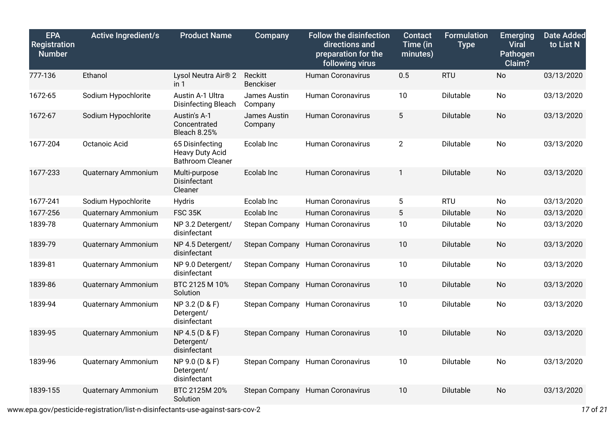| <b>EPA</b><br><b>Registration</b><br><b>Number</b> | <b>Active Ingredient/s</b> | <b>Product Name</b>                                                  | Company                     | <b>Follow the disinfection</b><br>directions and<br>preparation for the<br>following virus | <b>Contact</b><br>Time (in<br>minutes) | <b>Formulation</b><br><b>Type</b> | <b>Emerging</b><br><b>Viral</b><br>Pathogen<br>Claim? | <b>Date Added</b><br>to List N |
|----------------------------------------------------|----------------------------|----------------------------------------------------------------------|-----------------------------|--------------------------------------------------------------------------------------------|----------------------------------------|-----------------------------------|-------------------------------------------------------|--------------------------------|
| 777-136                                            | Ethanol                    | Lysol Neutra Air <sup>®</sup> 2<br>in 1                              | Reckitt<br><b>Benckiser</b> | <b>Human Coronavirus</b>                                                                   | 0.5                                    | <b>RTU</b>                        | No                                                    | 03/13/2020                     |
| 1672-65                                            | Sodium Hypochlorite        | Austin A-1 Ultra<br>Disinfecting Bleach                              | James Austin<br>Company     | <b>Human Coronavirus</b>                                                                   | 10                                     | Dilutable                         | No                                                    | 03/13/2020                     |
| 1672-67                                            | Sodium Hypochlorite        | Austin's A-1<br>Concentrated<br><b>Bleach 8.25%</b>                  | James Austin<br>Company     | <b>Human Coronavirus</b>                                                                   | 5                                      | Dilutable                         | <b>No</b>                                             | 03/13/2020                     |
| 1677-204                                           | Octanoic Acid              | 65 Disinfecting<br><b>Heavy Duty Acid</b><br><b>Bathroom Cleaner</b> | Ecolab Inc                  | <b>Human Coronavirus</b>                                                                   | $\overline{2}$                         | Dilutable                         | No                                                    | 03/13/2020                     |
| 1677-233                                           | <b>Quaternary Ammonium</b> | Multi-purpose<br>Disinfectant<br>Cleaner                             | Ecolab Inc                  | <b>Human Coronavirus</b>                                                                   | $\mathbf{1}$                           | Dilutable                         | <b>No</b>                                             | 03/13/2020                     |
| 1677-241                                           | Sodium Hypochlorite        | <b>Hydris</b>                                                        | Ecolab Inc                  | <b>Human Coronavirus</b>                                                                   | $5\phantom{.0}$                        | <b>RTU</b>                        | No                                                    | 03/13/2020                     |
| 1677-256                                           | <b>Quaternary Ammonium</b> | <b>FSC 35K</b>                                                       | Ecolab Inc                  | <b>Human Coronavirus</b>                                                                   | 5                                      | Dilutable                         | <b>No</b>                                             | 03/13/2020                     |
| 1839-78                                            | Quaternary Ammonium        | NP 3.2 Detergent/<br>disinfectant                                    | <b>Stepan Company</b>       | <b>Human Coronavirus</b>                                                                   | 10                                     | Dilutable                         | No                                                    | 03/13/2020                     |
| 1839-79                                            | <b>Quaternary Ammonium</b> | NP 4.5 Detergent/<br>disinfectant                                    | <b>Stepan Company</b>       | <b>Human Coronavirus</b>                                                                   | 10                                     | Dilutable                         | <b>No</b>                                             | 03/13/2020                     |
| 1839-81                                            | <b>Quaternary Ammonium</b> | NP 9.0 Detergent/<br>disinfectant                                    |                             | Stepan Company Human Coronavirus                                                           | 10                                     | Dilutable                         | <b>No</b>                                             | 03/13/2020                     |
| 1839-86                                            | Quaternary Ammonium        | BTC 2125 M 10%<br>Solution                                           |                             | Stepan Company Human Coronavirus                                                           | 10                                     | Dilutable                         | <b>No</b>                                             | 03/13/2020                     |
| 1839-94                                            | <b>Quaternary Ammonium</b> | NP 3.2 (D & F)<br>Detergent/<br>disinfectant                         |                             | Stepan Company Human Coronavirus                                                           | 10                                     | Dilutable                         | <b>No</b>                                             | 03/13/2020                     |
| 1839-95                                            | <b>Quaternary Ammonium</b> | NP 4.5 (D & F)<br>Detergent/<br>disinfectant                         |                             | Stepan Company Human Coronavirus                                                           | 10                                     | Dilutable                         | No                                                    | 03/13/2020                     |
| 1839-96                                            | Quaternary Ammonium        | NP 9.0 (D & F)<br>Detergent/<br>disinfectant                         |                             | Stepan Company Human Coronavirus                                                           | 10                                     | Dilutable                         | <b>No</b>                                             | 03/13/2020                     |
| 1839-155                                           | Quaternary Ammonium        | BTC 2125M 20%<br>Solution                                            | <b>Stepan Company</b>       | <b>Human Coronavirus</b>                                                                   | 10                                     | <b>Dilutable</b>                  | <b>No</b>                                             | 03/13/2020                     |

www.epa.gov/pesticide-registration/list-n-disinfectants-use-against-sars-cov-2 *17* of *21*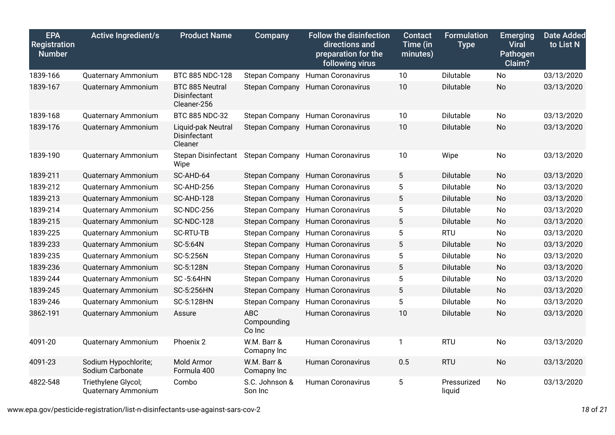| <b>EPA</b><br>Registration<br><b>Number</b> | <b>Active Ingredient/s</b>                 | <b>Product Name</b>                            | Company                             | <b>Follow the disinfection</b><br>directions and<br>preparation for the<br>following virus | <b>Contact</b><br>Time (in<br>minutes) | <b>Formulation</b><br><b>Type</b> | <b>Emerging</b><br><b>Viral</b><br>Pathogen<br>Claim? | <b>Date Added</b><br>to List N |
|---------------------------------------------|--------------------------------------------|------------------------------------------------|-------------------------------------|--------------------------------------------------------------------------------------------|----------------------------------------|-----------------------------------|-------------------------------------------------------|--------------------------------|
| 1839-166                                    | <b>Quaternary Ammonium</b>                 | BTC 885 NDC-128                                |                                     | Stepan Company Human Coronavirus                                                           | 10                                     | Dilutable                         | No                                                    | 03/13/2020                     |
| 1839-167                                    | Quaternary Ammonium                        | BTC 885 Neutral<br>Disinfectant<br>Cleaner-256 |                                     | Stepan Company Human Coronavirus                                                           | 10                                     | Dilutable                         | No                                                    | 03/13/2020                     |
| 1839-168                                    | <b>Quaternary Ammonium</b>                 | BTC 885 NDC-32                                 |                                     | Stepan Company Human Coronavirus                                                           | 10                                     | Dilutable                         | No                                                    | 03/13/2020                     |
| 1839-176                                    | <b>Quaternary Ammonium</b>                 | Liquid-pak Neutral<br>Disinfectant<br>Cleaner  |                                     | Stepan Company Human Coronavirus                                                           | 10                                     | Dilutable                         | No                                                    | 03/13/2020                     |
| 1839-190                                    | <b>Quaternary Ammonium</b>                 | <b>Stepan Disinfectant</b><br>Wipe             |                                     | Stepan Company Human Coronavirus                                                           | 10                                     | Wipe                              | No                                                    | 03/13/2020                     |
| 1839-211                                    | Quaternary Ammonium                        | SC-AHD-64                                      |                                     | Stepan Company Human Coronavirus                                                           | 5                                      | Dilutable                         | <b>No</b>                                             | 03/13/2020                     |
| 1839-212                                    | <b>Quaternary Ammonium</b>                 | SC-AHD-256                                     |                                     | Stepan Company Human Coronavirus                                                           | 5                                      | Dilutable                         | No                                                    | 03/13/2020                     |
| 1839-213                                    | Quaternary Ammonium                        | SC-AHD-128                                     |                                     | Stepan Company Human Coronavirus                                                           | $5\phantom{.0}$                        | Dilutable                         | <b>No</b>                                             | 03/13/2020                     |
| 1839-214                                    | <b>Quaternary Ammonium</b>                 | <b>SC-NDC-256</b>                              |                                     | Stepan Company Human Coronavirus                                                           | 5                                      | Dilutable                         | <b>No</b>                                             | 03/13/2020                     |
| 1839-215                                    | Quaternary Ammonium                        | <b>SC-NDC-128</b>                              |                                     | Stepan Company Human Coronavirus                                                           | 5                                      | Dilutable                         | No                                                    | 03/13/2020                     |
| 1839-225                                    | <b>Quaternary Ammonium</b>                 | <b>SC-RTU-TB</b>                               |                                     | Stepan Company Human Coronavirus                                                           | 5                                      | <b>RTU</b>                        | <b>No</b>                                             | 03/13/2020                     |
| 1839-233                                    | Quaternary Ammonium                        | SC-5:64N                                       | <b>Stepan Company</b>               | <b>Human Coronavirus</b>                                                                   | 5                                      | Dilutable                         | No                                                    | 03/13/2020                     |
| 1839-235                                    | Quaternary Ammonium                        | SC-5:256N                                      |                                     | Stepan Company Human Coronavirus                                                           | $5\phantom{.0}$                        | Dilutable                         | <b>No</b>                                             | 03/13/2020                     |
| 1839-236                                    | <b>Quaternary Ammonium</b>                 | SC-5:128N                                      |                                     | Stepan Company Human Coronavirus                                                           | 5                                      | Dilutable                         | <b>No</b>                                             | 03/13/2020                     |
| 1839-244                                    | Quaternary Ammonium                        | SC-5:64HN                                      |                                     | Stepan Company Human Coronavirus                                                           | 5                                      | Dilutable                         | <b>No</b>                                             | 03/13/2020                     |
| 1839-245                                    | <b>Quaternary Ammonium</b>                 | SC-5:256HN                                     | <b>Stepan Company</b>               | <b>Human Coronavirus</b>                                                                   | 5                                      | Dilutable                         | <b>No</b>                                             | 03/13/2020                     |
| 1839-246                                    | <b>Quaternary Ammonium</b>                 | SC-5:128HN                                     | <b>Stepan Company</b>               | <b>Human Coronavirus</b>                                                                   | 5                                      | Dilutable                         | No                                                    | 03/13/2020                     |
| 3862-191                                    | Quaternary Ammonium                        | Assure                                         | <b>ABC</b><br>Compounding<br>Co Inc | <b>Human Coronavirus</b>                                                                   | 10                                     | Dilutable                         | <b>No</b>                                             | 03/13/2020                     |
| 4091-20                                     | <b>Quaternary Ammonium</b>                 | Phoenix 2                                      | W.M. Barr &<br>Comapny Inc          | <b>Human Coronavirus</b>                                                                   | $\mathbf{1}$                           | <b>RTU</b>                        | No                                                    | 03/13/2020                     |
| 4091-23                                     | Sodium Hypochlorite;<br>Sodium Carbonate   | Mold Armor<br>Formula 400                      | W.M. Barr &<br>Comapny Inc          | <b>Human Coronavirus</b>                                                                   | 0.5                                    | <b>RTU</b>                        | <b>No</b>                                             | 03/13/2020                     |
| 4822-548                                    | Triethylene Glycol;<br>Quaternary Ammonium | Combo                                          | S.C. Johnson &<br>Son Inc           | <b>Human Coronavirus</b>                                                                   | 5                                      | Pressurized<br>liquid             | <b>No</b>                                             | 03/13/2020                     |

www.epa.gov/pesticide-registration/list-n-disinfectants-use-against-sars-cov-2 *18* of *21*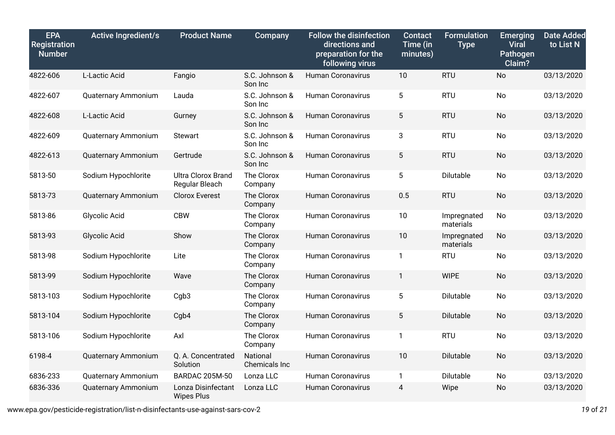| <b>EPA</b><br>Registration<br><b>Number</b> | <b>Active Ingredient/s</b> | <b>Product Name</b>                         | Company                   | <b>Follow the disinfection</b><br>directions and<br>preparation for the<br>following virus | <b>Contact</b><br>Time (in<br>minutes) | <b>Formulation</b><br><b>Type</b> | <b>Emerging</b><br><b>Viral</b><br>Pathogen<br>Claim? | <b>Date Added</b><br>to List N |
|---------------------------------------------|----------------------------|---------------------------------------------|---------------------------|--------------------------------------------------------------------------------------------|----------------------------------------|-----------------------------------|-------------------------------------------------------|--------------------------------|
| 4822-606                                    | L-Lactic Acid              | Fangio                                      | S.C. Johnson &<br>Son Inc | <b>Human Coronavirus</b>                                                                   | 10                                     | <b>RTU</b>                        | No                                                    | 03/13/2020                     |
| 4822-607                                    | <b>Quaternary Ammonium</b> | Lauda                                       | S.C. Johnson &<br>Son Inc | <b>Human Coronavirus</b>                                                                   | 5                                      | <b>RTU</b>                        | No                                                    | 03/13/2020                     |
| 4822-608                                    | L-Lactic Acid              | Gurney                                      | S.C. Johnson &<br>Son Inc | <b>Human Coronavirus</b>                                                                   | 5                                      | <b>RTU</b>                        | <b>No</b>                                             | 03/13/2020                     |
| 4822-609                                    | Quaternary Ammonium        | <b>Stewart</b>                              | S.C. Johnson &<br>Son Inc | <b>Human Coronavirus</b>                                                                   | 3                                      | <b>RTU</b>                        | No                                                    | 03/13/2020                     |
| 4822-613                                    | <b>Quaternary Ammonium</b> | Gertrude                                    | S.C. Johnson &<br>Son Inc | <b>Human Coronavirus</b>                                                                   | 5                                      | <b>RTU</b>                        | <b>No</b>                                             | 03/13/2020                     |
| 5813-50                                     | Sodium Hypochlorite        | <b>Ultra Clorox Brand</b><br>Regular Bleach | The Clorox<br>Company     | <b>Human Coronavirus</b>                                                                   | 5                                      | Dilutable                         | <b>No</b>                                             | 03/13/2020                     |
| 5813-73                                     | <b>Quaternary Ammonium</b> | <b>Clorox Everest</b>                       | The Clorox<br>Company     | Human Coronavirus                                                                          | 0.5                                    | <b>RTU</b>                        | <b>No</b>                                             | 03/13/2020                     |
| 5813-86                                     | Glycolic Acid              | <b>CBW</b>                                  | The Clorox<br>Company     | <b>Human Coronavirus</b>                                                                   | 10                                     | Impregnated<br>materials          | No                                                    | 03/13/2020                     |
| 5813-93                                     | <b>Glycolic Acid</b>       | Show                                        | The Clorox<br>Company     | <b>Human Coronavirus</b>                                                                   | 10                                     | Impregnated<br>materials          | <b>No</b>                                             | 03/13/2020                     |
| 5813-98                                     | Sodium Hypochlorite        | Lite                                        | The Clorox<br>Company     | <b>Human Coronavirus</b>                                                                   | $\mathbf{1}$                           | <b>RTU</b>                        | <b>No</b>                                             | 03/13/2020                     |
| 5813-99                                     | Sodium Hypochlorite        | Wave                                        | The Clorox<br>Company     | <b>Human Coronavirus</b>                                                                   | 1                                      | <b>WIPE</b>                       | <b>No</b>                                             | 03/13/2020                     |
| 5813-103                                    | Sodium Hypochlorite        | Cgb3                                        | The Clorox<br>Company     | <b>Human Coronavirus</b>                                                                   | 5                                      | Dilutable                         | No                                                    | 03/13/2020                     |
| 5813-104                                    | Sodium Hypochlorite        | Cgb4                                        | The Clorox<br>Company     | <b>Human Coronavirus</b>                                                                   | 5                                      | Dilutable                         | <b>No</b>                                             | 03/13/2020                     |
| 5813-106                                    | Sodium Hypochlorite        | Axl                                         | The Clorox<br>Company     | <b>Human Coronavirus</b>                                                                   | $\mathbf{1}$                           | <b>RTU</b>                        | <b>No</b>                                             | 03/13/2020                     |
| 6198-4                                      | Quaternary Ammonium        | Q. A. Concentrated<br>Solution              | National<br>Chemicals Inc | Human Coronavirus                                                                          | 10                                     | Dilutable                         | <b>No</b>                                             | 03/13/2020                     |
| 6836-233                                    | Quaternary Ammonium        | <b>BARDAC 205M-50</b>                       | Lonza LLC                 | <b>Human Coronavirus</b>                                                                   | 1                                      | Dilutable                         | <b>No</b>                                             | 03/13/2020                     |
| 6836-336                                    | <b>Quaternary Ammonium</b> | Lonza Disinfectant<br><b>Wipes Plus</b>     | Lonza LLC                 | <b>Human Coronavirus</b>                                                                   | 4                                      | Wipe                              | <b>No</b>                                             | 03/13/2020                     |

www.epa.gov/pesticide-registration/list-n-disinfectants-use-against-sars-cov-2 *19* of *21*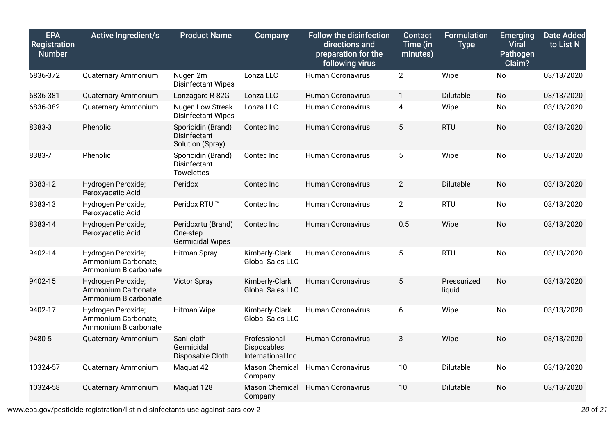| <b>EPA</b><br>Registration<br><b>Number</b> | <b>Active Ingredient/s</b>                                        | <b>Product Name</b>                                       | Company                                          | <b>Follow the disinfection</b><br>directions and<br>preparation for the<br>following virus | <b>Contact</b><br>Time (in<br>minutes) | <b>Formulation</b><br><b>Type</b> | <b>Emerging</b><br><b>Viral</b><br>Pathogen<br>Claim? | <b>Date Added</b><br>to List N |
|---------------------------------------------|-------------------------------------------------------------------|-----------------------------------------------------------|--------------------------------------------------|--------------------------------------------------------------------------------------------|----------------------------------------|-----------------------------------|-------------------------------------------------------|--------------------------------|
| 6836-372                                    | <b>Quaternary Ammonium</b>                                        | Nugen 2m<br><b>Disinfectant Wipes</b>                     | Lonza LLC                                        | <b>Human Coronavirus</b>                                                                   | $\overline{2}$                         | Wipe                              | <b>No</b>                                             | 03/13/2020                     |
| 6836-381                                    | Quaternary Ammonium                                               | Lonzagard R-82G                                           | Lonza LLC                                        | <b>Human Coronavirus</b>                                                                   | $\mathbf{1}$                           | Dilutable                         | <b>No</b>                                             | 03/13/2020                     |
| 6836-382                                    | <b>Quaternary Ammonium</b>                                        | Nugen Low Streak<br><b>Disinfectant Wipes</b>             | Lonza LLC                                        | <b>Human Coronavirus</b>                                                                   | 4                                      | Wipe                              | No                                                    | 03/13/2020                     |
| 8383-3                                      | Phenolic                                                          | Sporicidin (Brand)<br>Disinfectant<br>Solution (Spray)    | Contec Inc                                       | <b>Human Coronavirus</b>                                                                   | $5\phantom{.0}$                        | <b>RTU</b>                        | No                                                    | 03/13/2020                     |
| 8383-7                                      | Phenolic                                                          | Sporicidin (Brand)<br>Disinfectant<br><b>Towelettes</b>   | Contec Inc                                       | <b>Human Coronavirus</b>                                                                   | $5\phantom{.0}$                        | Wipe                              | No                                                    | 03/13/2020                     |
| 8383-12                                     | Hydrogen Peroxide;<br>Peroxyacetic Acid                           | Peridox                                                   | Contec Inc                                       | <b>Human Coronavirus</b>                                                                   | $\overline{2}$                         | Dilutable                         | No                                                    | 03/13/2020                     |
| 8383-13                                     | Hydrogen Peroxide;<br>Peroxyacetic Acid                           | Peridox RTU ™                                             | Contec Inc                                       | <b>Human Coronavirus</b>                                                                   | $\overline{2}$                         | <b>RTU</b>                        | No                                                    | 03/13/2020                     |
| 8383-14                                     | Hydrogen Peroxide;<br>Peroxyacetic Acid                           | Peridoxrtu (Brand)<br>One-step<br><b>Germicidal Wipes</b> | Contec Inc                                       | <b>Human Coronavirus</b>                                                                   | 0.5                                    | Wipe                              | <b>No</b>                                             | 03/13/2020                     |
| 9402-14                                     | Hydrogen Peroxide;<br>Ammonium Carbonate;<br>Ammonium Bicarbonate | <b>Hitman Spray</b>                                       | Kimberly-Clark<br><b>Global Sales LLC</b>        | Human Coronavirus                                                                          | 5                                      | <b>RTU</b>                        | <b>No</b>                                             | 03/13/2020                     |
| 9402-15                                     | Hydrogen Peroxide;<br>Ammonium Carbonate;<br>Ammonium Bicarbonate | <b>Victor Spray</b>                                       | Kimberly-Clark<br><b>Global Sales LLC</b>        | <b>Human Coronavirus</b>                                                                   | $5\phantom{.0}$                        | Pressurized<br>liquid             | <b>No</b>                                             | 03/13/2020                     |
| 9402-17                                     | Hydrogen Peroxide;<br>Ammonium Carbonate;<br>Ammonium Bicarbonate | <b>Hitman Wipe</b>                                        | Kimberly-Clark<br><b>Global Sales LLC</b>        | <b>Human Coronavirus</b>                                                                   | 6                                      | Wipe                              | No                                                    | 03/13/2020                     |
| 9480-5                                      | Quaternary Ammonium                                               | Sani-cloth<br>Germicidal<br>Disposable Cloth              | Professional<br>Disposables<br>International Inc | <b>Human Coronavirus</b>                                                                   | 3                                      | Wipe                              | <b>No</b>                                             | 03/13/2020                     |
| 10324-57                                    | Quaternary Ammonium                                               | Maquat 42                                                 | Mason Chemical<br>Company                        | <b>Human Coronavirus</b>                                                                   | 10                                     | <b>Dilutable</b>                  | No                                                    | 03/13/2020                     |
| 10324-58                                    | <b>Quaternary Ammonium</b>                                        | Maquat 128                                                | <b>Mason Chemical</b><br>Company                 | <b>Human Coronavirus</b>                                                                   | 10                                     | Dilutable                         | <b>No</b>                                             | 03/13/2020                     |